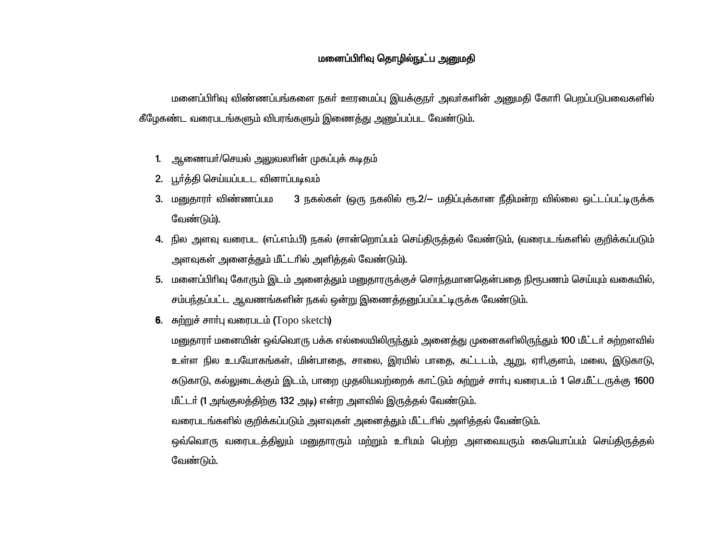# மனைப்பிரிவு தொழில்நுட்ப அனுமதி

மனைப்பிரிவு விண்ணப்பங்களை நகர் ஊரமைப்பு இயக்குநர் அவர்களின் அனுமதி கோரி பெறப்படுபவைகளில் கீழேகண்ட வரைபடங்களும் விபரங்களும் இணைத்து அனுப்பப்பட வேண்டும்.

- 1. ஆணையா்/செயல் அலுவலாின் முகப்புக் கடிதம்
- 2. பூர்த்தி செய்யப்படட வினாப்படிவம்
- 3. மனுகாரா் விண்ணப்பம 3 நகல்கள் (ஒரு நகலில் ரூ.2/– மதிப்புக்கான நீதிமன்ற வில்லை ஒட்டப்பட்டிருக்க வேண்டும்).
- 4. நில அளவு வரைபட (எப்.எம்.பி) நகல் (சான்றொப்பம் செய்திருத்தல் வேண்டும், (வரைபடங்களில் குறிக்கப்படும் அளவுகள் அனைத்தும் மீட்டரில் அளித்தல் வேண்டும்).
- 5. மனைப்பிரிவு கோரும் இடம் அனைத்தும் மனுதாரருக்குச் சொந்தமானதென்பதை நிரூபணம் செய்யும் வகையில், சம்பந்தப்பட்ட ஆவணங்களின் நகல் ஒன்று இணைத்தனுப்பப்பட்டிருக்க வேண்டும்.
- **6.** சுற்றுச் சார்பு வரைபடம் (Topo sketch)

மனுதாரா் மனையின் ஒவ்வொரு பக்க எல்லையிலிருந்தும் அனைத்து முனைகளிலிருந்தும் 100 மீட்டா் சுற்றளவில் உள்ள நில உபயோகங்கள், மின்பாதை, சாலை, இரயில் பாதை, கட்டடம், ஆறு, ஏாி,குளம், மலை, இடுகாடு, சுடுகாடு, கல்லுடைக்கும் இடம், பாறை முதலியவற்றைக் காட்டும் சுற்றுச் சாா்பு வரைபடம் 1 செ.மீட்டருக்கு 1600 மீட்டர் (1 அங்குலத்திற்கு 132 அடி) என்ற அளவில் இருத்தல் வேண்டும்.

வரைபடங்களில் குறிக்கப்படும் அளவுகள் அனைத்தும் மீட்டரில் அளித்தல் வேண்டும்.

ஒவ்வொரு வரைபடத்திலும் மனுதாரரும் மற்றும் உரிமம் பெற்ற அளவையரும் கையொப்பம் செய்திருத்தல் வேண்டும்.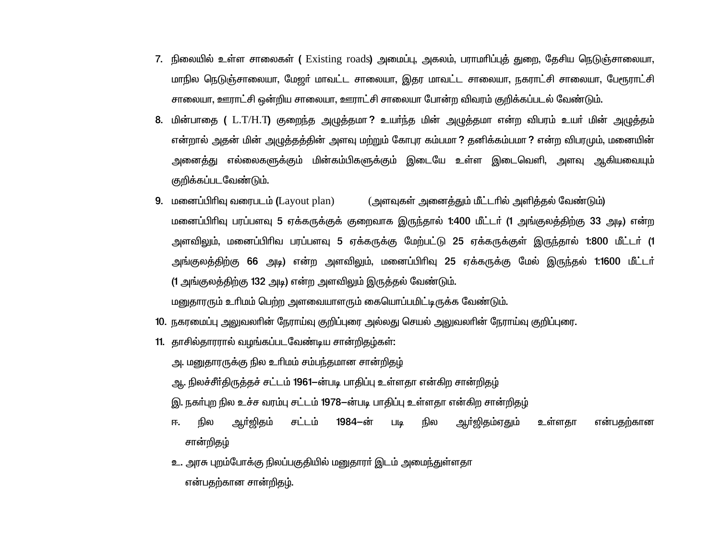- <mark>7. நிலையில் உள்ள சாலைகள் (</mark> Existing roads) அமைப்பு, அகலம், பராமரிப்புத் துறை, தேசிய நெடுஞ்சாலையா, மாநில நெடுஞ்சாலையா, மேஜர் மாவட்ட சாலையா, இதர மாவட்ட சாலையா, நகராட்சி சாலையா, பேரூராட்சி சாலையா, ஊராட்சி ஒன்றிய சாலையா, ஊராட்சி சாலையா போன்ற விவரம் குறிக்கப்படல் வேண்டும்.
- 8. மின்பாதை ( L.T/H.T) குறைந்த அழுத்தமா? உயர்ந்த மின் அழுத்தமா என்ற விபரம் உயர் மின் அழுத்தம் என்றால் அதன் மின் அழுத்தத்தின் அளவு மற்றும் கோபுர கம்பமா ? தனிக்கம்பமா ? என்ற விபரமும், மனையின் அனைத்து எல்லைகளுக்கும் மின்கம்பிகளுக்கும் இடையே உள்ள இடைவெளி, அளவு ஆகியவையும் குறிக்கப்படவேண்டும்.
- **9.** மனைப்பிரிவு வரைபடம் (Layout plan) (அளவுகள் அனைக்கும் மீட்டரில் அளிக்கல் வேண்டும்) மனைப்பிரிவு பரப்பளவு 5 ஏக்கருக்குக் குறைவாக இருந்தால் 1:400 மீட்டர் (1 அங்குலத்திற்கு 33 அடி) என்ற அளவிலும். மனைப்பிரிவ பரப்பளவு 5 ஏக்கருக்கு மேற்பட்டு 25 ஏக்கருக்குள் இருந்தால் 1:800 மீட்டர் (1 அங்குலத்திற்கு 66 அடி) என்ற அளவிலும், மனைப்பிரிவு 25 ஏக்கருக்கு மேல் இருந்தல் 1:1600 மீட்டர் (1 அங்குலத்திற்கு 132 அடி) என்ற அளவிலும் இருத்தல் வேண்டும். மனுதாரரும் உரிமம் பெற்ற அளவையாளரும் கையொப்பமிட்டிருக்க வேண்டும்.
- 10. நகரமைப்பு அலுவலாின் நேராய்வு குறிப்புரை அல்லது செயல் அலுவலாின் நேராய்வு குறிப்புரை.
- 11. தாசில்தாரரால் வழங்கப்படவேண்டிய சான்றிதழ்கள்:
	- அ. மனுதாரருக்கு நில உரிமம் சம்பந்தமான சான்றிதழ்
	- ஆ. நிலச்சீர்திருத்தச் சட்டம் 1961-ன்படி பாதிப்பு உள்ளதா என்கிற சான்றிதழ்
	- இ. நகா்புற நில உச்ச வரம்பு சட்டம் 1978—ன்படி பாதிப்பு உள்ளதா என்கிற சான்றிதழ்
	- ஆர்ஜிதம்ஏதும் நில ஆர்லிகம் சட்டம் 1984–ன் **Lilg** நில உள்ளகா என்பகற்கான 匝. சான்றிதழ்
	- உ. அரசு புறம்போக்கு நிலப்பகுதியில் மனுதாரா் இடம் அமைந்துள்ளதா என்பதற்கான சான்றிதழ்.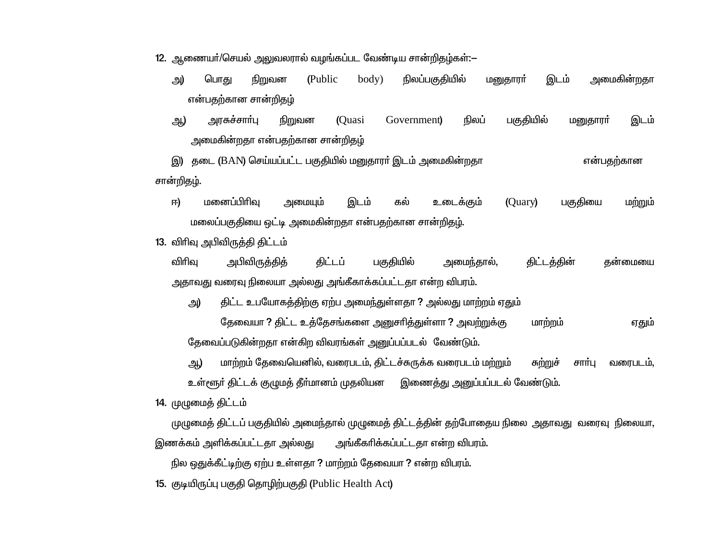12. ஆணையா்/செயல் அலுவலரால் வழங்கப்பட வேண்டிய சான்றிதழ்கள்:-

- அ) பொது நிறுவன body) நிலப்பகுதியில் இடம் அமைகின்றதா (Public) மனுதாரா் என்பதற்கான சான்றிதம்
- பகுதியில் அரசுச்சார்பு நிறுவன (Ouasi நிலப் இடம் அ) Government) மனுதாரா் அமைகின்றதா என்பதற்கான சான்றிதழ்

இ) தடை (BAN) செய்யப்பட்ட பகுதியில் மனுதாரா் இடம் அமைகின்றதா என்பதற்கான சான்றிதழ்.

உடைக்கும் 曱) மனைப்பிரிவ அமையும் இடம் (Quary) பகுதியை மற்றும் கல் மலைப்பகுதியை ஒட்டி அமைகின்றதா என்பதற்கான சான்றிதழ்.

13. விரிவு அபிவிருத்தி திட்டம்

விரிவு கிட்டப் பகுதியில் திட்டத்தின் அபிவிருத்தித் அமைந்தால், கன்மையை அதாவது வரைவு நிலையா அல்லது அங்கீகாக்கப்பட்டதா என்ற விபரம்.

திட்ட உபயோகத்திற்கு ஏற்ப அமைந்துள்ளதா ? அல்லது மாற்றம் ஏதும் அ)

தேவையா ? திட்ட உத்தேசங்களை அனுசாித்துள்ளா ? அவற்றுக்கு மாற்றம் ஏதும் தேவைப்படுகின்றதா என்கிற விவரங்கள் அனுப்பப்படல் வேண்டும்.

மாற்றம் தேவையெனில், வரைபடம், திட்டச்சுருக்க வரைபடம் மற்றும் அ) சுற்றுச் சார்பு வரைபடம், உள்ளூர் திட்டக் குழுமத் தீர்மானம் முதலியன இணைத்து அனுப்பப்படல் வேண்டும்.

14. முழுமைத் திட்டம்

முழுமைத் திட்டப் பகுதியில் அமைந்தால் முழுமைத் திட்டத்தின் தற்போதைய நிலை அதாவது வரைவு நிலையா,

அங்கீகரிக்கப்பட்டதா என்ற விபரம். இணக்கம் அளிக்கப்பட்டதா அல்லது

நில ஒதுக்கீட்டிற்கு ஏற்ப உள்ளதா ? மாற்றம் தேவையா ? என்ற விபரம்.

15. குடியிருப்பு பகுதி தொழிற்பகுதி (Public Health Act)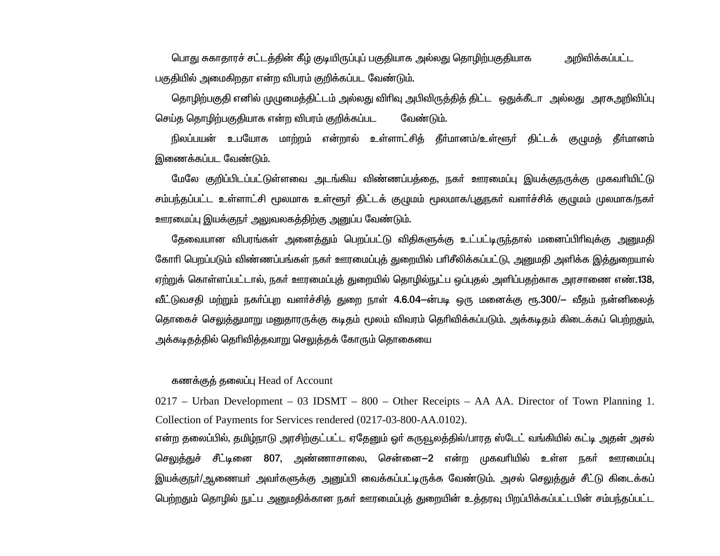பொது சுகாதாரச் சட்டத்தின் கீழ் குடியிருப்புப் பகுதியாக அல்லது தொழிற்பகுதியாக அறிவிக்கப்பட்ட பகுதியில் அமைகிறதா என்ற விபரம் குறிக்கப்பட வேண்டும்.

தொழிற்பகுதி எனில் முழுமைத்திட்டம் அல்லது விரிவு அபிவிருத்தித் திட்ட ஒதுக்கீடா அல்லது அரசுஅறிவிப்பு செய்த தொழிற்பகுதியாக என்ற விபரம் குறிக்கப்பட வேண்டும்.

நிலப்பயன் உபயோக மாற்றம் என்றால் உள்ளாட்சிக் தீர்மானம்/உள்ளூர் கிட்டக் குமுமக் தீர்மானம் இணைக்கப்பட வேண்டும்.

மேலே குறிப்பிடப்பட்டுள்ளவை அடங்கிய விண்ணப்பத்தை, நகர் ஊரமைப்பு இயக்குநருக்கு முகவரியிட்டு சம்பந்தப்பட்ட உள்ளாட்சி மூலமாக உள்ளூர் திட்டக் குழுமம் மூலமாக/புதுநகர் வளர்ச்சிக் குழுமம் முலமாக/நகர் ஊரமைப்பு இயக்குநா் அலுவலகத்திற்கு அனுப்ப வேண்டும்.

தேவையான விபரங்கள் அனைத்தும் பெறப்பட்டு விதிகளுக்கு உட்பட்டிருந்தால் மனைப்பிரிவுக்கு அனுமதி கோரி பெறப்படும் விண்ணப்பங்கள் நகர் ஊரமைப்புத் துறையில் பரிசீலிக்கப்பட்டு, அனுமதி அளிக்க இத்துறையால் <u>ஏற்று</u>க் கொள்ளப்பட்டால், நகர் ஊரமைப்புத் துறையில் தொழில்நுட்ப ஒப்புதல் அளிப்பதற்காக அரசாணை எண்.138, வீட்டுவசதி மற்றும் நகா்ப்புற வளா்ச்சித் துறை நாள் 4.6.04—ன்படி ஒரு மனைக்கு ரூ.300/— வீதம் நன்னிலைத் தொகைச் செலுத்துமாறு மனுதாரருக்கு கடிதம் மூலம் விவரம் தெரிவிக்கப்படும். அக்கடிதம் கிடைக்கப் பெற்றதும், அக்கடிதத்தில் தெரிவித்தவாறு செலுத்தக் கோரும் தொகையை

#### கணக்குத் தலைப்பு Head of Account

 $0217$  – Urban Development – 03 IDSMT – 800 – Other Receipts – AA AA. Director of Town Planning 1. Collection of Payments for Services rendered (0217-03-800-AA.0102).

என்ற தலைப்பில், தமிழ்நாடு அரசிற்குட்பட்ட ஏதேனும் ஒர் கருவூலத்தில்/பாரத ஸ்டேட் வங்கியில் கட்டி அதன் அசல் செ<u>லுத்து</u>ச் சீட்டினை 807, அண்ணாசாலை, சென்னை—2 என்ற முகவரியில் உள்ள நகர் ஊரமைப்பு இயக்குநா்/ஆணையா் அவா்களுக்கு அனுப்பி வைக்கப்பட்டிருக்க வேண்டும். அசல் செலுக்துச் சீட்டு கிடைக்கப் பெற்றதும் தொழில் நுட்ப அனுமதிக்கான நகர் ஊரமைப்புத் துறையின் உத்தரவு பிறப்பிக்கப்பட்டபின் சம்பந்தப்பட்ட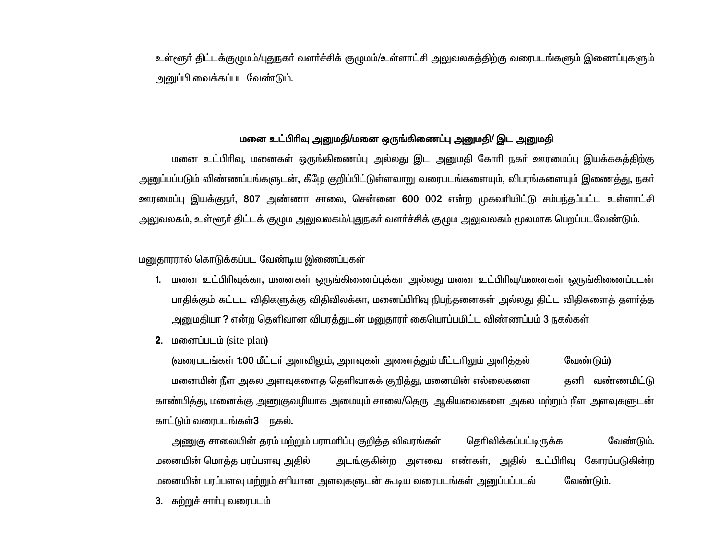உள்ளூர் திட்டக்குழுமம்/புதுநகர் வளர்ச்சிக் குழுமம்/உள்ளாட்சி அலுவலகத்திற்கு வரைபடங்களும் இணைப்புகளும் அனுப்பி வைக்கப்பட வேண்டும்.

# மனை உட்பிரிவு அனுமதி/மனை ஒருங்கிணைப்பு அனுமதி/ இட அனுமதி

மனை உட்பிரிவு, மனைகள் ஒருங்கிணைப்பு அல்லது இட அனுமதி கோரி நகர் ஊரமைப்பு இயக்ககத்திற்கு அனுப்பப்படும் விண்ணப்பங்களுடன், கீழே குறிப்பிட்டுள்ளவாறு வரைபடங்களையும், விபரங்களையும் இணைத்து, நகர் ஊரமைப்பு இயக்குநா், 807 அண்ணா சாலை, சென்னை 600 002 என்ற முகவாியிட்டு சம்பந்தப்பட்ட உள்ளாட்சி அலுவலகம், உள்ளூர் திட்டக் குழும அலுவலகம்/புதுநகர் வளர்ச்சிக் குழும அலுவலகம் மூலமாக பெறப்படவேண்டும்.

மனுகாரரால் கொடுக்கப்பட வேண்டிய இணைப்புகள்

- 1. மனை உட்பிரிவுக்கா, மனைகள் ஒருங்கிணைப்புக்கா அல்லது மனை உட்பிரிவு/மனைகள் ஒருங்கிணைப்புடன் பாதிக்கும் கட்டட விதிகளுக்கு விதிவிலக்கா, மனைப்பிரிவு நிபந்தனைகள் அல்லது திட்ட விதிகளைத் தளர்த்த அனுமதியா ? என்ற தெளிவான விபரத்துடன் மனுதாரர் கையொப்பமிட்ட விண்ணப்பம் 3 நகல்கள்
- 2. மனைப்படம் (site plan)

(வரைபடங்கள் 1:00 மீட்டர் அளவிலும், அளவுகள் அனைத்தும் மீட்டரிலும் அளித்தல் வேண்டும்) மனையின் நீள அகல அளவுகளைத தெளிவாகக் குறித்து, மனையின் எல்லைகளை **கனி வண்ணமிட்டு** காண்பித்து, மனைக்கு அணுகுவழியாக அமையும் சாலை/தெரு ஆகியவைகளை அகல மற்றும் நீள அளவுகளுடன் காட்டும் வரைபடங்கள்3 நகல்.

அணுகு சாலையின் தரம் மற்றும் பராமாிப்பு குறித்த விவரங்கள் தெரிவிக்கப்பட்டிருக்க வேண்டும். அடங்குகின்ற அளவை எண்கள், அதில் உட்பிரிவு கோரப்படுகின்ற மனையின் மொத்த பரப்பளவு அதில் மனையின் பரப்பளவு மற்றும் சரியான அளவுகளுடன் கூடிய வரைபடங்கள் அனுப்பப்படல் வேண்டும்.

3. சுற்றுச் சாா்பு வரைபடம்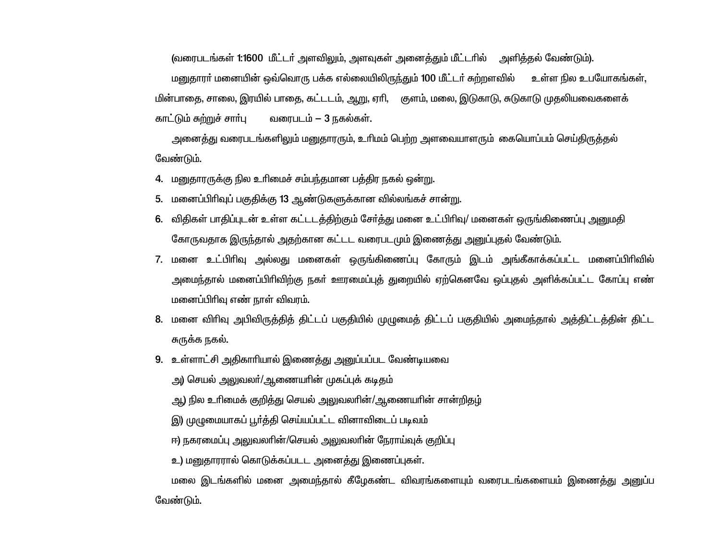(வரைபடங்கள் 1:1600 மீட்டர் அளவிலும், அளவுகள் அனைத்தும் மீட்டரில் அளித்தல் வேண்டும்). மனுதாரா் மனையின் ஒவ்வொரு பக்க எல்லையிலிருந்தும் 100 மீட்டா் சுற்றளவில் உள்ள நில உபயோகங்கள், மின்பாதை, சாலை, இரயில் பாதை, கட்டடம், ஆறு, ஏரி, குளம், மலை, இடுகாடு, சுடுகாடு முதலியவைகளைக் காட்டும் சுற்றுச் சார்பு வரைபடம் – 3 நகல்கள்.

அனைத்து வரைபடங்களிலும் மனுதாரரும், உரிமம் பெற்ற அளவையாளரும் கையொப்பம் செய்திருத்தல் வேண்டும்.

4. மனுகாரருக்கு நில உரிமைச் சம்பந்தமான பக்கிர நகல் ஒன்று.

- 5. மனைப்பிரிவுப் பகுதிக்கு 13 ஆண்டுகளுக்கான வில்லங்கச் சான்று.
- 6. விதிகள் பாதிப்புடன் உள்ள கட்டடத்திற்கும் சேர்த்து மனை உட்பிரிவு/ மனைகள் ஒருங்கிணைப்பு அனுமதி கோருவதாக இருந்தால் அதற்கான கட்டட வரைபடமும் இணைத்து அனுப்புதல் வேண்டும்.
- 7. மனை உட்பிரிவு அல்லது மனைகள் ஒருங்கிணைப்பு கோரும் இடம் அங்கீகாக்கப்பட்ட மனைப்பிரிவில் அமைந்தால் மனைப்பிரிவிற்கு நகர் ஊரமைப்புத் துறையில் ஏற்கெனவே ஒப்புதல் அளிக்கப்பட்ட கோப்பு எண் மனைப்பிரிவு எண் நாள் விவரம்.
- 8. மனை விரிவு அபிவிருத்தித் திட்டப் பகுதியில் முழுமைத் திட்டப் பகுதியில் அமைந்தால் அத்திட்டத்தின் திட்ட சுருக்க நகல்.
- 9. உள்ளாட்சி அதிகாரியால் இணைத்து அனுப்பப்பட வேண்டியவை

அ) செயல் அலுவலா்/ஆணையாின் முகப்புக் கடிதம்

ஆ) நில உரிமைக் குறித்து செயல் அலுவலரின்/ஆணையரின் சான்றிதழ்

இ) முழுமையாகப் பூர்த்தி செய்யப்பட்ட வினாவிடைப் படிவம்

ஈ) நகரமைப்பு அலுவலாின்/செயல் அலுவலாின் நேராய்வுக் குறிப்பு

உ) மனுதாரரால் கொடுக்கப்படட அனைத்து இணைப்புகள்.

மலை இடங்களில் மனை அமைந்தால் கீழேகண்ட விவரங்களையும் வரைபடங்களையம் இணைத்து அனுப்ப வேண்டும்.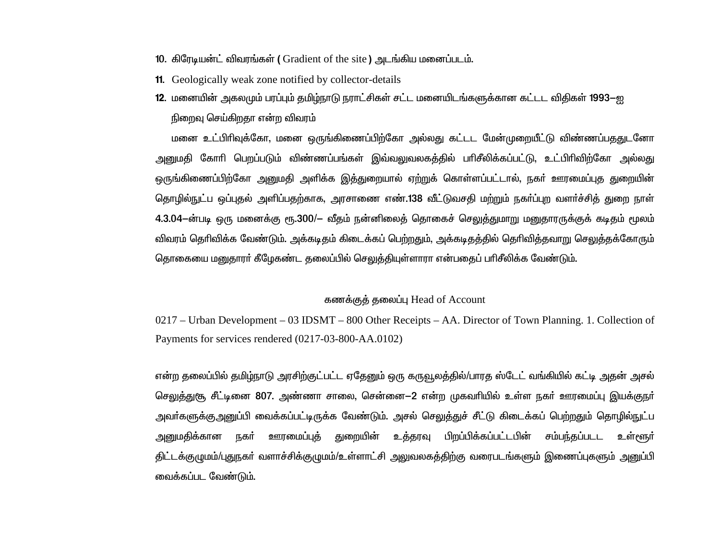- 10. கிரேடியன்ட் விவரங்கள் ( Gradient of the site ) அடங்கிய மனைப்படம்.
- **11.** Geologically weak zone notified by collector-details
- 12. மனையின் அகலமும் பரப்பும் தமிழ்நாடு நராட்சிகள் சட்ட மனையிடங்களுக்கான கட்டட விதிகள் 1993—ஐ நிறைவு செய்கிறதா என்ற விவரம்

மனை உட்பிரிவுக்கோ, மனை ஒருங்கிணைப்பிற்கோ அல்லது கட்டட மேன்முறையீட்டு விண்ணப்பததுடனோ அனுமதி கோரி பெறப்படும் விண்ணப்பங்கள் இவ்வலுவலகத்தில் பரிசீலிக்கப்பட்டு, உட்பிரிவிற்கோ அல்லது ஒருங்கிணைப்பிற்கோ அனுமதி அளிக்க இத்துறையால் ஏற்றுக் கொள்ளப்பட்டால், நகா் ஊரமைப்புத துறையின் தொழில்நுட்ப ஒப்புதல் அளிப்பதற்காக, அரசாணை எண்.138 வீட்டுவசதி மற்றும் நகர்ப்புற வளர்ச்சித் துறை நாள் 4.3.04—ன்படி ஒரு மனைக்கு ரூ.300/— வீதம் நன்னிலைத் தொகைச் செலுத்துமாறு மனுதாரருக்குக் கடிதம் மூலம் விவரம் தெரிவிக்க வேண்டும். அக்கடிதம் கிடைக்கப் பெற்றதும், அக்கடிதத்தில் தெரிவித்தவாறு செலுத்தக்கோரும் தொகையை மனுதாரா் கீழேகண்ட தலைப்பில் செலுத்தியுள்ளாரா என்பதைப் பாிசீலிக்க வேண்டும்.

#### கணக்குக் தலைப்பு Head of Account

0217 – Urban Development – 03 IDSMT – 800 Other Receipts – AA. Director of Town Planning. 1. Collection of Payments for services rendered (0217-03-800-AA.0102)

என்ற தலைப்பில் தமிழ்நாடு அரசிற்குட்பட்ட ஏதேனும் ஒரு கருவூலத்தில்/பாரத ஸ்டேட் வங்கியில் கட்டி அதன் அசல் செலுத்துசூ, சீட்டினை 807. அண்ணா சாலை, சென்னை—2 என்ற முகவரியில் உள்ள நகர் ஊரமைப்பு இயக்குநர் அவா்களுக்கு,<u>அனு</u>ப்பி வைக்கப்பட்டிருக்க வேண்டும். அசல் செ<u>லுத்</u>துச் சீட்டு கிடைக்கப் பெற்றதும் தொழில்நுட்ப <u>அனுமதிக்கான நகர் ஊரமைப்புத் துறையின் உத்தரவு பிறப்பிக்கப்பட்டபின் சம்பந்தப்படட உள்ளூர் </u> திட்டக்குழுமம்/புதுநகா் வளாச்சிக்குழுமம்/உள்ளாட்சி அலுவலகத்திற்கு வரைபடங்களும் இணைப்புகளும் அனுப்பி வைக்கப்பட வேண்டும்.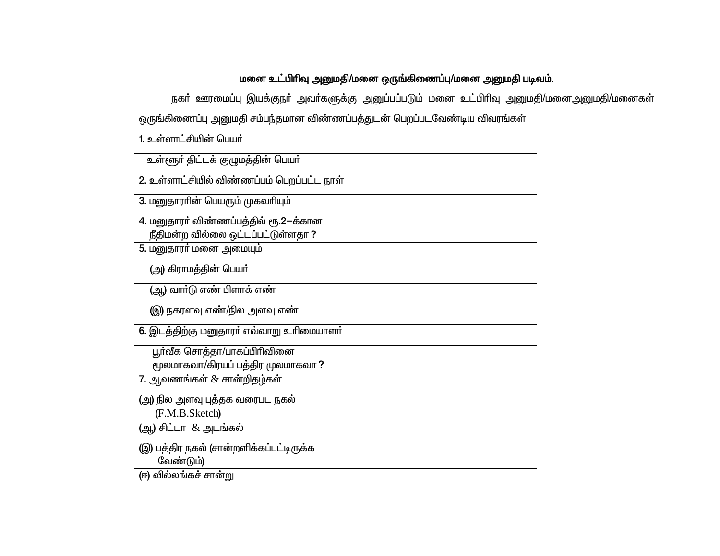# மனை உட்பிரிவு அனுமதி/மனை ஒருங்கிணைப்பு/மனை அனுமதி படிவம்.

நகா் ஊரமைப்பு இயக்குநா் அவா்களுக்கு அனுப்பப்படும் மனை உட்பிாிவு அனுமதி/மனைஅனுமதி/மனைகள் ஒருங்கிணைப்பு அனுமதி சம்பந்தமான விண்ணப்பத்துடன் பெறப்படவேண்டிய விவரங்கள்

| 1. உள்ளாட்சியின் பெயர்                     |  |
|--------------------------------------------|--|
| உள்ளூர் திட்டக் குழுமத்தின் பெயர்          |  |
| 2. உள்ளாட்சியில் விண்ணப்பம் பெறப்பட்ட நாள் |  |
| 3. மனுதாரரின் பெயரும் முகவரியும்           |  |
| 4. மனுதாரா் விண்ணப்பத்தில் ரூ.2-க்கான      |  |
| நீதிமன்ற வில்லை ஒட்டப்பட்டுள்ளதா ?         |  |
| 5. மனுதாரா் மனை அமையும்                    |  |
| (அ) கிராமத்தின் பெயா்                      |  |
| (ஆ) வார்டு எண் பிளாக் எண்                  |  |
| (இ) நகரளவு எண்/நில அளவு எண்                |  |
| 6. இடத்திற்கு மனுதாரா் எவ்வாறு உரிமையாளா்  |  |
| பூர்வீக சொத்தா/பாகப்பிரிவினை               |  |
| மூலமாகவா/கிரயப் பத்திர முலமாகவா?           |  |
| 7. ஆவணங்கள் $\&$ சான்றிதழ்கள்              |  |
| (அ) நில அளவு புத்தக வரைபட நகல்             |  |
| (F.M.B.Sketch)                             |  |
| (ஆ) சிட்டா & அடங்கல்                       |  |
| இ) பத்திர நகல் (சான்றளிக்கப்பட்டிருக்க     |  |
| வேண்டும்)                                  |  |
| (ஈ) வில்லங்கச் சான்று                      |  |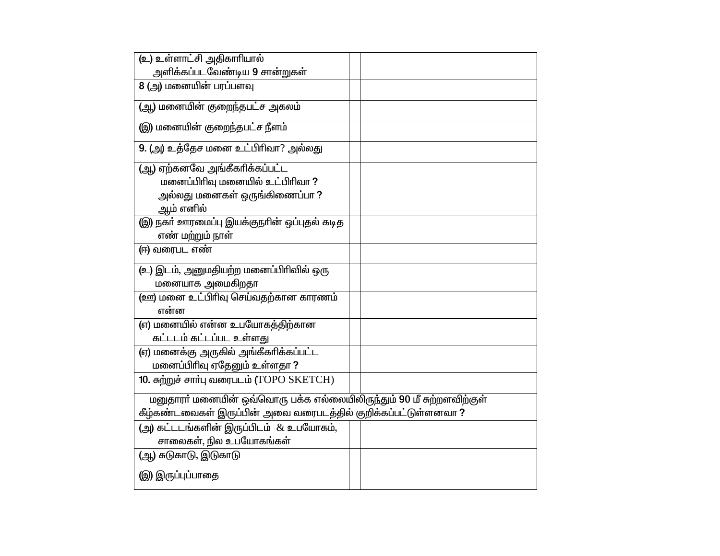| (உ) உள்ளாட்சி அதிகாரியால்                                            |  |
|----------------------------------------------------------------------|--|
| அளிக்கப்படவேண்டிய 9 சான்றுகள்                                        |  |
| 8 (அ) மனையின் பரப்பளவு                                               |  |
| (ஆ) மனையின் குறைந்தபட்ச அகலம்                                        |  |
| (இ) மனையின் குறைந்தபட்ச நீளம்                                        |  |
| 9. (அ) உத்தேச மனை உட்பிரிவா? அல்லது                                  |  |
| (ஆ) ஏற்கனவே அங்கீகரிக்கப்பட்ட                                        |  |
| மனைப்பிரிவு மனையில் உட்பிரிவா ?                                      |  |
| அல்லது மனைகள் ஒருங்கிணைப்பா ?                                        |  |
| ஆம் எனில்                                                            |  |
| (இ) நகா் ஊரமைப்பு இயக்குநாின் ஒப்புதல் கடித                          |  |
| எண் மற்றும் நாள்                                                     |  |
| (ஈ) வரைபட எண்                                                        |  |
| (உ) இடம், அனுமதியற்ற மனைப்பிரிவில் ஒரு                               |  |
| மனையாக அமைகிறதா                                                      |  |
| (ஊ) மனை உட்பிரிவு செய்வதற்கான காரணம்                                 |  |
| என்ன                                                                 |  |
| (எ) மனையில் என்ன உபயோகத்திற்கான                                      |  |
| கட்டடம் கட்டப்பட உள்ளது                                              |  |
| (ஏ) மனைக்கு அருகில் அங்கீகாிக்கப்பட்ட                                |  |
| மனைப்பிரிவு ஏதேனும் உள்ளதா?                                          |  |
| 10. சுற்றுச் சார்பு வரைபடம் (TOPO SKETCH)                            |  |
| மனுதாரா் மனையின் ஒவ்வொரு பக்க எல்லையிலிருந்தும் 90 மீ சுற்றளவிற்குள் |  |
| கீழ்கண்டவைகள் இருப்பின் அவை வரைபடத்தில் குறிக்கப்பட்டுள்ளனவா ?       |  |
| (அ) கட்டடங்களின் இருப்பிடம் & உபயோகம்,                               |  |
| சாலைகள், நில உபயோகங்கள்                                              |  |
| (ஆ) சுடுகாடு, இடுகாடு                                                |  |
| (இ) இருப்புப்பாதை                                                    |  |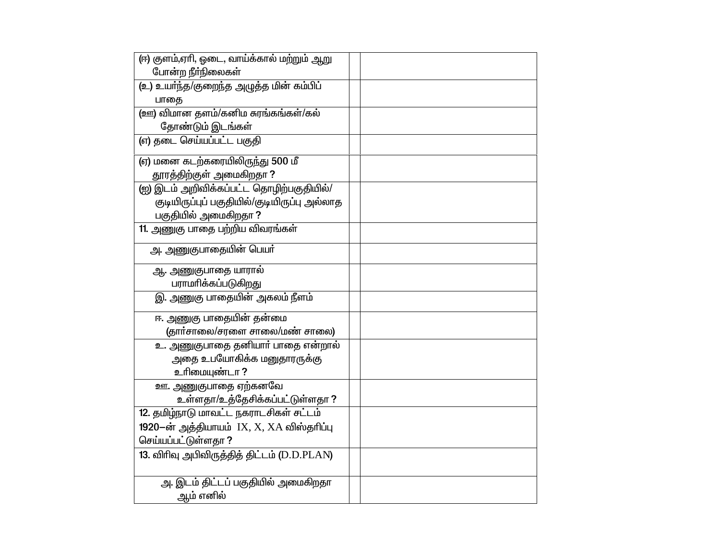| (ஈ) குளம்,ஏாி, ஓடை, வாய்க்கால் மற்றும் ஆறு   |  |
|----------------------------------------------|--|
| போன்ற நீர்நிலைகள்                            |  |
| (உ) உயர்ந்த/குறைந்த அழுத்த மின் கம்பிப்      |  |
| பாதை                                         |  |
| (ஊ) விமான தளம்/கனிம சுரங்கங்கள்/கல்          |  |
| தோண்டும் இடங்கள்                             |  |
| (எ) தடை செய்யப்பட்ட பகுதி                    |  |
| (ஏ) மனை கடற்கரையிலிருந்து 500 மீ             |  |
| தூரத்திற்குள் அமைகிறதா ?                     |  |
| (ஐ) இடம் அறிவிக்கப்பட்ட தொழிற்பகுதியில்/     |  |
| குடியிருப்புப் பகுதியில்/குடியிருப்பு அல்லாத |  |
| பகுதியில் அமைகிறதா?                          |  |
| 11. அணுகு பாதை பற்றிய விவரங்கள்              |  |
| <u>அ</u> . அணுகுபாதையின் பெயா்               |  |
| ஆ. அணுகுபாதை யாரால்                          |  |
| பராமரிக்கப்படுகிறது                          |  |
| இ. அணுகு பாதையின் அகலம் நீளம்                |  |
| ஈ. அணுகு பாதையின் தன்மை                      |  |
| (தார்சாலை/சரளை சாலை/மண் சாலை)                |  |
| உ. அணுகுபாதை தனியாா் பாதை என்றால்            |  |
| அதை உபயோகிக்க மனுதாரருக்கு                   |  |
| உரிமையுண்டா ?                                |  |
| <u>ஊ.</u> அணுகுபாதை ஏற்கனவே                  |  |
| உள்ளதா/உத்தேசிக்கப்பட்டுள்ளதா?               |  |
| 12. தமிழ்நாடு மாவட்ட நகராடசிகள் சட்டம்       |  |
| 1920-ன் அத்தியாயம் IX, X, XA விஸ்தரிப்பு     |  |
| செய்யப்பட்டுள்ளதா ?                          |  |
| 13. விரிவு அபிவிருத்தித் திட்டம் (D.D.PLAN)  |  |
|                                              |  |
| அ. இடம் திட்டப் பகுதியில் அமைகிறதா           |  |
| ஆம் எனில்                                    |  |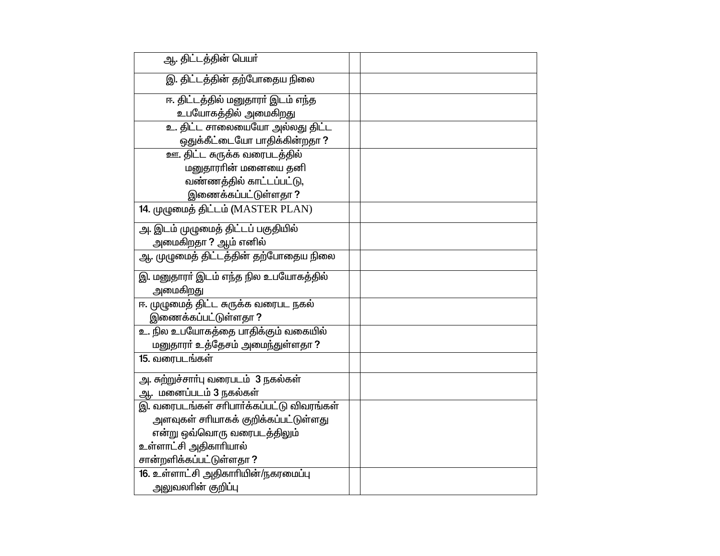| ஆ. திட்டத்தின் பெயர்                      |  |
|-------------------------------------------|--|
| இ. திட்டத்தின் தற்போதைய நிலை              |  |
| ஈ. திட்டத்தில் மனுதாரா் இடம் எந்த         |  |
| உபயோகத்தில் அமைகிறது                      |  |
| உ. திட்ட சாலையையோ அல்லது திட்ட            |  |
| ஒதுக்கீட்டையோ பாதிக்கின்றதா ?             |  |
| ஊ. திட்ட சுருக்க வரைபடத்தில்              |  |
| மனுதாராின் மனையை தனி                      |  |
| வண்ணத்தில் காட்டப்பட்டு,                  |  |
| இணைக்கப்பட்டுள்ளதா ?                      |  |
| 14. முழுமைத் திட்டம் (MASTER PLAN)        |  |
| அ. இடம் முழுமைத் திட்டப் பகுதியில்        |  |
| அமைகிறதா <b>?</b> ஆம் எனில்               |  |
| ஆ. முழுமைத் திட்டத்தின் தற்போதைய நிலை     |  |
| இ. மனுதாரா் இடம் எந்த நில உபயோகத்தில்     |  |
| அமைகிறது                                  |  |
| ஈ. முழுமைத் திட்ட சுருக்க வரைபட நகல்      |  |
| இணைக்கப்பட்டுள்ளதா ?                      |  |
| உ. நில உபயோகத்தை பாதிக்கும் வகையில்       |  |
| மனுதாரா் உத்தேசம் அமைந்துள்ளதா ?          |  |
| 15. வரைபடங்கள்                            |  |
| அ. சுற்றுச்சார்பு வரைபடம் 3 நகல்கள்       |  |
| ஆ. மனைப்படம் 3 நகல்கள்                    |  |
| இ. வரைபடங்கள் சரிபார்க்கப்பட்டு விவரங்கள் |  |
| அளவுகள் சரியாகக் குறிக்கப்பட்டுள்ளது      |  |
| என்று ஒவ்வொரு வரைபடத்திலும்               |  |
| உள்ளாட்சி அதிகாரியால்                     |  |
| சான்றளிக்கப்பட்டுள்ளதா ?                  |  |
| 16. உள்ளாட்சி அதிகாரியின்/நகரமைப்பு       |  |
| அலுவலாின் குறிப்பு                        |  |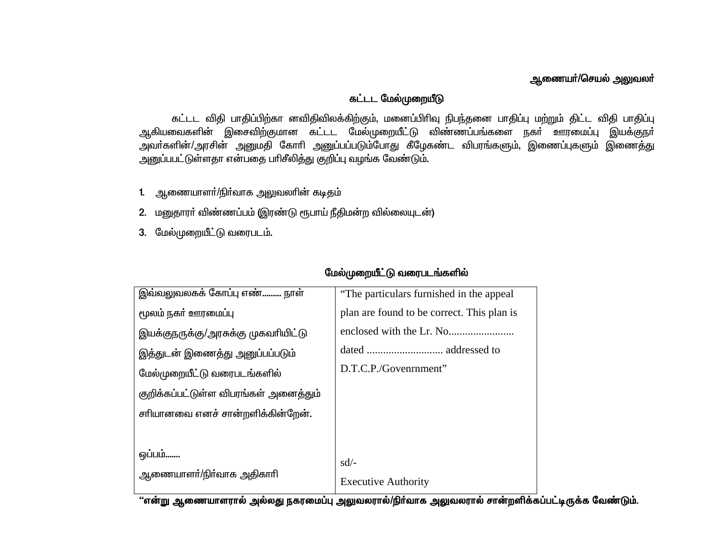## ஆணையா்/செயல் அலுவலா்

#### கட்டட மேல்முறையீடு

கட்டட விதி பாதிப்பிற்கா னவிதிவிலக்கிற்கும், மனைப்பிரிவு நிபந்தனை பாதிப்பு மற்றும் திட்ட விதி பாதிப்பு ஆகியவைகளின் இசைவிற்குமான கட்டட மேல்முறையீட்டு விண்ணப்பங்களை நகா் ஊரமைப்பு இயக்குநா் அவா்களின்/அரசின் அனுமதி கோாி அனுப்பப்படும்போது கீழேகண்ட விபரங்களும், இணைப்புகளும் இணைத்து அனுப்பபட்டுள்ளதா என்பதை பரிசீலித்து குறிப்பு வழங்க வேண்டும்.

- 1. ஆணையாளா்/நிா்வாக அலுவலாின் கடிதம்
- 2. மனுதாரா் விண்ணப்பம் (இரண்டு ரூபாய் நீதிமன்ற வில்லையுடன்)
- 3. மேல்முறையீட்டு வரைபடம்.

| இவ்வலுவலகக் கோப்பு எண் நாள்           | "The particulars furnished in the appeal"  |
|---------------------------------------|--------------------------------------------|
| மூலம் நகா் ஊரமைப்பு                   | plan are found to be correct. This plan is |
| இயக்குநருக்கு/அரசுக்கு முகவரியிட்டு   |                                            |
| இத்துடன் இணைத்து அனுப்பப்படும்        |                                            |
| மேல்முறையீட்டு வரைபடங்களில்           | D.T.C.P./Govenrnment"                      |
| குறிக்கப்பட்டுள்ள விபரங்கள் அனைத்தும் |                                            |
| சரியானவை எனச் சான்றளிக்கின்றேன்.      |                                            |
|                                       |                                            |
| ஒப்பம்<br>ஆணையாளா்/நிா்வாக அதிகாாி    | $sd/$ -<br><b>Executive Authority</b>      |
|                                       |                                            |

#### மேல்முறையீட்டு வரைபடங்களில்

"என்று ஆணையாளரால் அல்லது நகரமைப்பு அலுவலரால்/நிர்வாக அலுவலரால் சான்றளிக்கப்பட்டிருக்க வேண்டும்.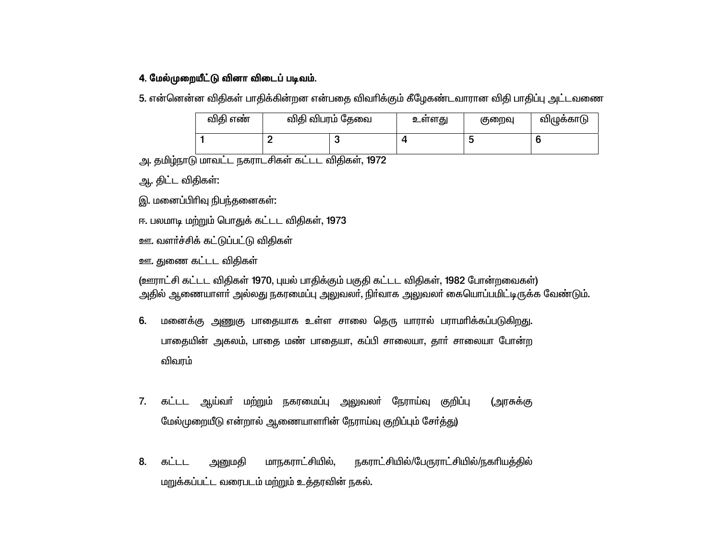#### 4. மேல்முறையீட்டு வினா விடைப் படிவம்.

5. என்னென்ன விதிகள் பாதிக்கின்றன என்பதை விவரிக்கும் கீழேகண்டவாரான விதி பாதிப்பு அட்டவணை

| விகி எண் | விதி விபரம் தேவை | உளளது | குறைவு | விழுக்காடு |
|----------|------------------|-------|--------|------------|
|          |                  |       |        |            |

அ. தமிழ்நாடு மாவட்ட நகராடசிகள் கட்டட விதிகள், 1972

ஆ. திட்ட விதிகள்:

இ. மனைப்பிரிவு நிபந்தனைகள்:

ஈ. பலமாடி மற்றும் பொதுக் கட்டட விதிகள், 1973

ஊ. வளர்ச்சிக் கட்டுப்பட்டு விதிகள்

ஊ. துணை கட்டட விதிகள்

(ஊராட்சி கட்டட விதிகள் 1970, புயல் பாதிக்கும் பகுதி கட்டட விதிகள், 1982 போன்றவைகள்) அதில் ஆணையாளா் அல்லது நகரமைப்பு அலுவலா், நிா்வாக அலுவலா் கையொப்பமிட்டிருக்க வேண்டும்.

- 6. மனைக்கு அணுகு பாதையாக உள்ள சாலை தெரு யாரால் பராமரிக்கப்படுகிறது. பாதையின் அகலம், பாதை மண் பாதையா, கப்பி சாலையா, தாா் சாலையா போன்ற விவரம்
- 7. கட்டட ஆய்வா் மற்றும் நகரமைப்பு அலுவலா் நேராய்வு குறிப்பு (அரசுக்கு மேல்முறையீடு என்றால் ஆணையாளரின் நேராய்வு குறிப்பும் சேர்த்து)
- மாநகராட்சியில், நகராட்சியில்/பேருராட்சியில்/நகரியத்தில் அனுமதி 8. கட்டட மறுக்கப்பட்ட வரைபடம் மற்றும் உத்தரவின் நகல்.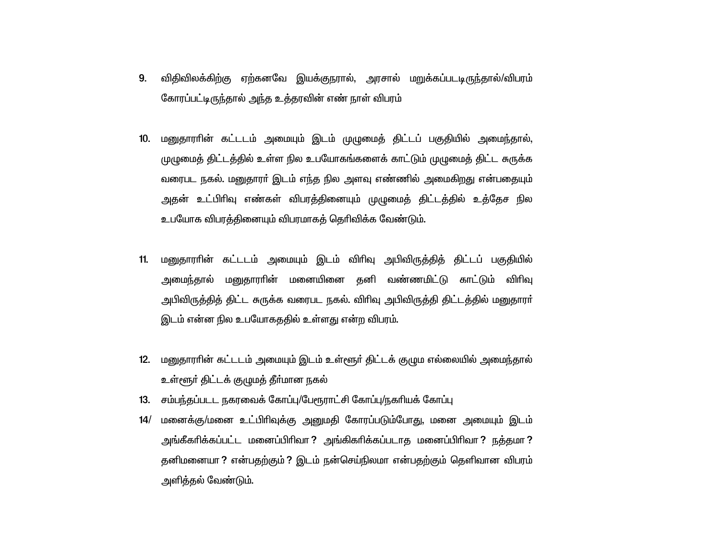- விதிவிலக்கிற்கு ஏற்கனவே இயக்குநரால், அரசால் மறுக்கப்படடிருந்தால்/விபரம் 9. கோரப்பட்டிருந்தால் அந்த உத்தரவின் எண் நாள் விபரம்
- 10. மனுதாராின் கட்டடம் அமையும் இடம் முழுமைத் திட்டப் பகுதியில் அமைந்தால், முழுமைத் திட்டத்தில் உள்ள நில உபயோகங்களைக் காட்டும் முழுமைத் திட்ட சுருக்க வரைபட நகல். மனுதாரா் இடம் எந்த நில அளவு எண்ணில் அமைகிறது என்பதையும் அதன் உட்பிரிவு எண்கள் விபரத்தினையும் முழுமைத் திட்டத்தில் உத்தேச நில உபயோக விபரத்தினையும் விபரமாகத் தெரிவிக்க வேண்டும்.
- மனுதாராின் கட்டடம் அமையும் இடம் விாிவு அபிவிருத்தித் திட்டப் பகுதியில்  $11.$ அமைந்தால் மனுதாராின் மனையினை தனி வண்ணமிட்டு காட்டும் விாிவு அபிவிருத்தித் திட்ட சுருக்க வரைபட நகல். விரிவு அபிவிருத்தி திட்டத்தில் மனுதாரா் இடம் என்ன நில உபயோகததில் உள்ளது என்ற விபரம்.
- 12. மனுதாராின் கட்டடம் அமையும் இடம் உள்ளூர் திட்டக் குழும எல்லையில் அமைந்தால் உள்ளூர் திட்டக் குழுமத் தீர்மான நகல்
- 13. சம்பந்தப்படட நகரவைக் கோப்பு/பேரூராட்சி கோப்பு/நகரியக் கோப்பு
- மனைக்கு/மனை உட்பிரிவுக்கு அனுமதி கோரப்படும்போது, மனை அமையும் இடம்  $14/$ அங்கீகரிக்கப்பட்ட மனைப்பிரிவா ? அங்கிகரிக்கப்படாத மனைப்பிரிவா ? நத்தமா ? தனிமனையா ? என்பதற்கும் ? இடம் நன்செய்நிலமா என்பதற்கும் தெளிவான விபரம் அளித்தல் வேண்டும்.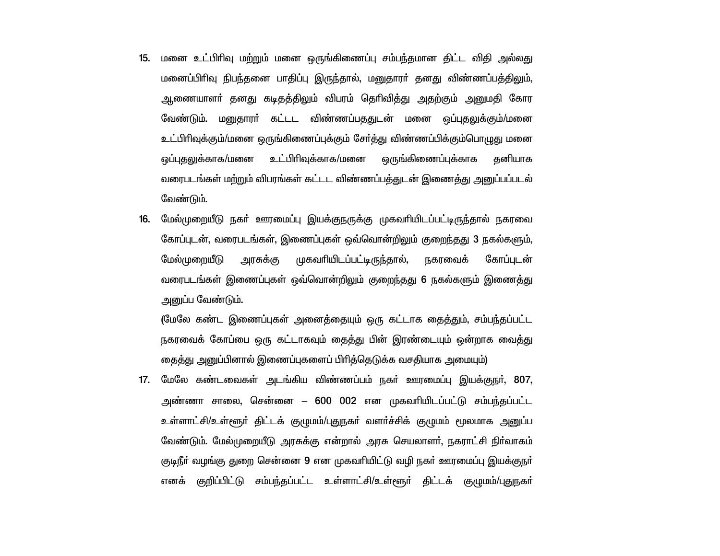- 15. மனை உட்பிரிவு மற்றும் மனை ஒருங்கிணைப்பு சம்பந்தமான திட்ட விதி அல்லது மனைப்பிரிவு நிபந்தனை பாதிப்பு இருந்தால், மனுதாரா் தனது விண்ணப்பத்திலும், ஆணையாளா் தனது கடிதத்திலும் விபரம் தொிவித்து அதற்கும் அனுமதி கோர வேண்டும். மனுதாரா் கட்டட விண்ணப்பததுடன் மனை ஒப்புதலுக்கும்/மனை உட்பிரிவுக்கும்/மனை ஒருங்கிணைப்புக்கும் சேர்த்து விண்ணப்பிக்கும்பொழுது மனை உட்பிரிவுக்காக/மனை ஒருங்கிணைப்புக்காக ஒப்புகலுக்காக/மனை கனியாக வரைபடங்கள் மற்றும் விபரங்கள் கட்டட விண்ணப்பக்துடன் இணைக்து அனுப்பப்படல் வேண்டும்.
- மேல்முறையீடு நகர் ஊரமைப்பு இயக்குநருக்கு முகவரியிடப்பட்டிருந்தால் நகரவை 16. கோப்புடன், வரைபடங்கள், இணைப்புகள் ஒவ்வொன்றிலும் குறைந்தது 3 நகல்களும், மேல்முறையீடு அரசுக்கு முகவரியிடப்பட்டிருந்தால், நகரவைக் கோப்படன் வரைபடங்கள் இணைப்புகள் ஒவ்வொன்றிலும் குறைந்தது 6 நகல்களும் இணைத்து அனுப்ப வேண்டும்.

(மேலே கண்ட இணைப்புகள் அனைத்தையும் ஒரு கட்டாக தைத்தும், சம்பந்தப்பட்ட நகரவைக் கோப்பை ஒரு கட்டாகவும் தைத்து பின் இரண்டையும் ஒன்றாக வைத்து தைத்து அனுப்பினால் இணைப்புகளைப் பிரித்தெடுக்க வசதியாக அமையும்)

17. மேலே கண்டவைகள் அடங்கிய விண்ணப்பம் நகர் ஊரமைப்பு இயக்குநர், 807, அண்ணா சாலை, சென்னை – 600 002 என முகவரியிடப்பட்டு சம்பந்தப்பட்ட <u>உள்ளாட்சி/உள்ளூர் கிட்டக் குமுமம்/புதுநகர் வளர்ச்சிக் குமுமம் மூலமாக அனுப்ப</u> வேண்டும். மேல்முறையீடு அரசுக்கு என்றால் அரசு செயலாளா். நகராட்சி நிா்வாகம் குடிநீா் வழங்கு துறை சென்னை 9 என முகவாியிட்டு வழி நகா் ஊரமைப்பு இயக்குநா் எனக் குறிப்பிட்டு சம்பந்தப்பட்ட உள்ளாட்சி/உள்ளூர் திட்டக் குழுமம்/புதுநகர்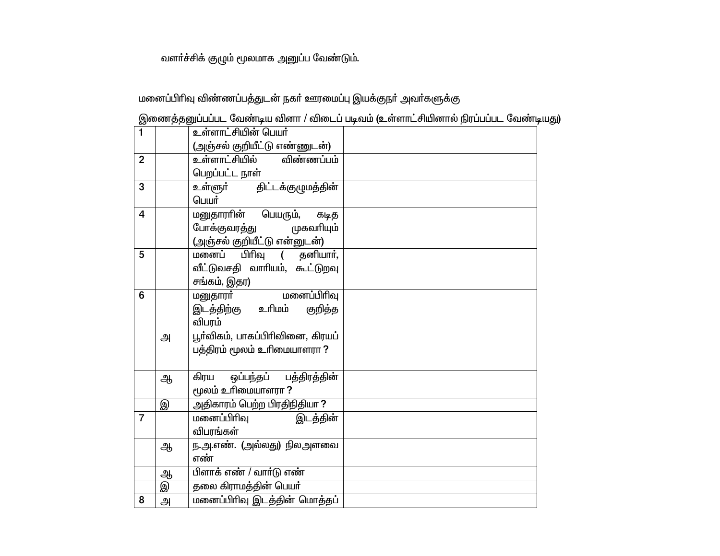# வளா்ச்சிக் குழும் மூலமாக அனுப்ப வேண்டும்.

# மனைப்பிரிவு விண்ணப்பத்துடன் நகா் ஊரமைப்பு இயக்குநா் அவா்களுக்கு

| இணைத்தனுப்பப்பட வேண்டிய வினா / விடைப் படிவம் (உள்ளாட்சியினால் நிரப்பப்பட வேண்டியது) |
|-------------------------------------------------------------------------------------|
|-------------------------------------------------------------------------------------|

| $\blacksquare$ |   | உள்ளாட்சியின் பெயர்                        |  |
|----------------|---|--------------------------------------------|--|
|                |   | (அஞ்சல் குறியீட்டு எண்ணுடன்)               |  |
| $\overline{2}$ |   | <u>உள்ளாட்சியில் விண்ணப்பம்</u>            |  |
|                |   | பெறப்பட்ட நாள்                             |  |
| $\overline{3}$ |   | உள்ளுா் திட்டக்குழுமத்தின்                 |  |
|                |   | பெயர்                                      |  |
| $\overline{4}$ |   | மனுதாராின் பெயரும், கடித                   |  |
|                |   | போக்குவரத்து முகவரியும்                    |  |
|                |   | (அஞ்சல் குறியீட்டு என்னுடன்)               |  |
| 5              |   | பிரிவு ( தனியாா்,<br>மனைப்                 |  |
|                |   | வீட்டுவசதி வாரியம், கூட்டுறவு              |  |
|                |   | சங்கம், இதர)                               |  |
| 6              |   | மனைப்பிரிவு<br>மனுதாரா் <del>காணமும்</del> |  |
|                |   | இடத்திற்கு உரிமம்<br>குறித்த               |  |
|                |   | விபரம்                                     |  |
|                | அ | பூர்விகம், பாகப்பிரிவினை, கிரயப்           |  |
|                |   | பத்திரம் மூலம் உரிமையாளரா ?                |  |
|                |   |                                            |  |
|                | ஆ | ஒப்பந்தப் பத்திரத்தின்<br>கிரய             |  |
|                |   | மூலம் உரிமையாளரா ?                         |  |
|                | இ | அதிகாரம் பெற்ற பிரதிநிதியா ?               |  |
| $\overline{7}$ |   | இடத்தின்<br>மனைப்பிரிவு                    |  |
|                |   | விபரங்கள்                                  |  |
|                | ஆ | ந.அ.எண். (அல்லது) நிலஅளவை                  |  |
|                |   | எண்                                        |  |
|                | ஆ | பிளாக் எண் / வார்டு எண்                    |  |
|                | இ | தலை கிராமத்தின் பெயர்                      |  |
| 8              | அ | மனைப்பிரிவு இடத்தின் மொத்தப்               |  |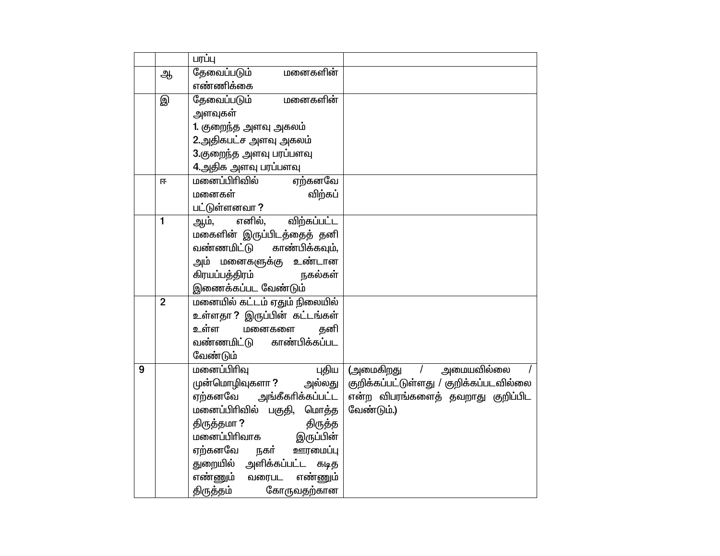|   |                | பரப்பு                                           |                                                                   |
|---|----------------|--------------------------------------------------|-------------------------------------------------------------------|
|   | ஆ              | தேவைப்படும்<br>மனைகளின்                          |                                                                   |
|   |                | எண்ணிக்கை                                        |                                                                   |
|   | இ              | தேவைப்படும்<br>மனைகளின்                          |                                                                   |
|   |                | அளவுகள்                                          |                                                                   |
|   |                | 1. குறைந்த அளவு அகலம்                            |                                                                   |
|   |                | 2.அதிகபட்ச அளவு அகலம்                            |                                                                   |
|   |                | 3.குறைந்த அளவு பரப்பளவு                          |                                                                   |
|   |                | 4.அதிக அளவு பரப்பளவு                             |                                                                   |
|   | 匝              | ஏற்கனவே<br>மனைப்பிரிவில்                         |                                                                   |
|   |                | விற்கப்<br>மனைகள்                                |                                                                   |
|   |                | பட்டுள்ளனவா ?                                    |                                                                   |
|   | $\mathbf{1}$   | எனில்,<br>விற்கப்பட்ட<br>ஆம்,                    |                                                                   |
|   |                | மகைளின் இருப்பிடத்தைத் தனி                       |                                                                   |
|   |                | வண்ணமிட்டு<br>காண்பிக்கவும்,                     |                                                                   |
|   |                | அம் மனைகளுக்கு உண்டான                            |                                                                   |
|   |                | கிரயப்பத்திரம்<br>நகல்கள்                        |                                                                   |
|   |                | இணைக்கப்பட வேண்டும்                              |                                                                   |
|   | $\overline{2}$ | <u>மனையில் கட்டம் ஏதும் நிலையில்</u>             |                                                                   |
|   |                | உள்ளதா ? இருப்பின் கட்டங்கள்                     |                                                                   |
|   |                | உள்ள<br>தனி<br>மனைகளை                            |                                                                   |
|   |                | காண்பிக்கப்பட<br>வண்ணமிட்டு                      |                                                                   |
| 9 |                | வேண்டும்                                         |                                                                   |
|   |                | மனைப்பிரிவு<br>புதிய  <br>முன்மொழிவுகளா ? அல்லது | (அமைகிறது / அமையவில்லை<br>குறிக்கப்பட்டுள்ளது / குறிக்கப்படவில்லை |
|   |                | ஏற்கனவே அங்கீகரிக்கப்பட்ட                        | என்ற விபரங்களைத் தவறாது குறிப்பிட                                 |
|   |                | மனைப்பிரிவில் பகுதி,<br>மொத்த                    | வேண்டும்.)                                                        |
|   |                | திருத்தமா?<br>திருத்த                            |                                                                   |
|   |                | மனைப்பிரிவாக இருப்பின்                           |                                                                   |
|   |                | ஏற்கனவே நகர்<br>ஊரமைப்பு                         |                                                                   |
|   |                | துறையில் அளிக்கப்பட்ட<br>கடித                    |                                                                   |
|   |                | எண்ணும் வரைபட<br>எண்ணும்                         |                                                                   |
|   |                | திருத்தம்<br>கோருவதற்கான                         |                                                                   |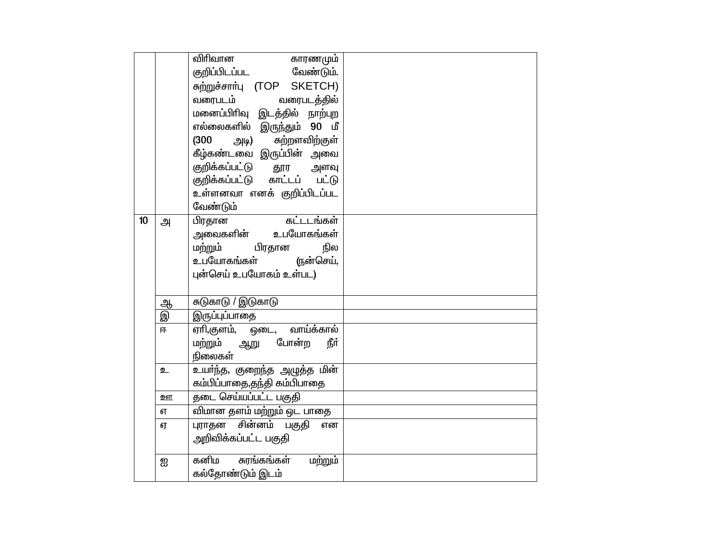|    |           | விரிவான<br>காரணமும்                        |  |
|----|-----------|--------------------------------------------|--|
|    |           | குறிப்பிடப்பட வேண்டும்.                    |  |
|    |           | சுற்றுச்சார்பு (TOP SKETCH)                |  |
|    |           | வரைபடம் வரைபடத்தில்                        |  |
|    |           | மனைப்பிரிவு இட <mark>த்தில்</mark> நாற்புற |  |
|    |           | எல்லைகளில் இருந்தும் 90 மீ                 |  |
|    |           | சுற்றளவிற்குள்<br>(300)<br>அடி)            |  |
|    |           | .<br>கீழ்கண்டவை இருப்பின் அவை              |  |
|    |           | குறிக்கப்பட்டு தூர அளவு                    |  |
|    |           | குறிக்கப்பட்டு காட்டப் பட்டு               |  |
|    |           | உள்ளனவா எனக் குறிப்பிடப்பட                 |  |
|    |           | வேண்டும்                                   |  |
| 10 | அ         | கட்டடங்கள்<br>பிரதான                       |  |
|    |           | அவைகளின் உபயோகங்கள்                        |  |
|    |           | ம <u>ற்ற</u> ும் பிரதான<br>நில             |  |
|    |           | உபயோகங்கள் (நன்செய்,                       |  |
|    |           | புன்செய் உபயோகம் உள்பட)                    |  |
|    |           |                                            |  |
|    | ஆ         | சுடுகாடு / இடுகாடு                         |  |
|    | இ         | இருப்புப்பாதை                              |  |
|    | 匝         | ஏாி,குளம், ஒடை, வாய்க்கால்                 |  |
|    |           | மற்றும் ஆறு போன்ற<br>நீர்                  |  |
|    |           | நிலைகள்                                    |  |
|    | உ         | உயா்ந்த, குறைந்த அழுத்த மின்               |  |
|    |           | கம்பிப்பாதை,தந்தி கம்பிபாதை                |  |
|    | <u>றள</u> | <mark>தடை செய்யப்பட்ட பகுதி</mark>         |  |
|    | எ         | விமான தளம் மற்றும் ஒட பாதை                 |  |
|    | ஏ         | புராதன சின்னம் பகுதி<br>என                 |  |
|    |           | அறிவிக்கப்பட்ட பகுதி                       |  |
|    |           |                                            |  |
|    | ஐ         | கனிம சுரங்கங்கள்<br>மற்றும்                |  |
|    |           | கல்தோண்டும் இடம்                           |  |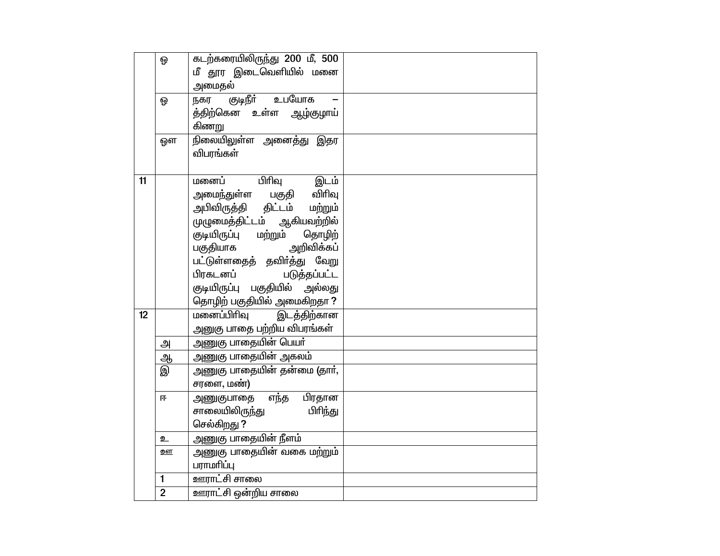|    | ஒ              | கடற்கரையிலிருந்து 200 மீ, 500       |  |
|----|----------------|-------------------------------------|--|
|    |                | மீ தூர இடைவெளியில் மனை              |  |
|    |                | அமைதல்                              |  |
|    | ଢ଼             | உபயோக<br>குடிநீா்<br>நகர            |  |
|    |                | த்திற்கென உள்ள ஆழ்குழாய்            |  |
|    |                | கிணறு                               |  |
|    | ஔ              | நிலையிலுள்ள அனைத்து இதர             |  |
|    |                | விபரங்கள்                           |  |
|    |                |                                     |  |
| 11 |                | பிரிவு<br>இடம்<br>மனைப்             |  |
|    |                | அமைந்துள்ள பகுதி விாிவு             |  |
|    |                | அபிவிருத்தி திட்டம் மற்றும்         |  |
|    |                | முழுமைத்திட்டம் ஆகியவற்றில்         |  |
|    |                | குடியிருப்பு மற்றும்<br>தொழிற்      |  |
|    |                | அறிவிக்கப்<br>பகுதியாக              |  |
|    |                | ்ட்<br>பட்டுள்ளதைத் தவிா்த்து வேறு  |  |
|    |                | பிரகடனப்<br>படுத்தப்பட்ட            |  |
|    |                | குடியிருப்பு பகுதியில் அல்லது       |  |
|    |                | தொழிற் பகுதியில் அமைகிறதா?          |  |
| 12 |                | மனைப்பிரிவு<br>இடத்திற்கான          |  |
|    |                | அனுகு பாதை பற்றிய விபரங்கள்         |  |
|    | அ              | <u>அணுகு பாதையின் பெயா்</u>         |  |
|    | <u>ஆ</u>       | அணுகு பாதையின் அகலம்                |  |
|    | இ              | அணுகு பாதையின் தன்மை (தார்,         |  |
|    |                | சரளை, மண்)                          |  |
|    | 匝              | பிரதான<br>எந்த<br>அணுகுபாதை         |  |
|    |                | பிரிந்து<br>சாலையிலிரு <u>ந்</u> து |  |
|    |                | செல்கிறது ?                         |  |
|    | உ              | அணுகு பாதையின் நீளம்                |  |
|    | ஊ              | <u>அணுகு</u> பாதையின் வகை மற்றும்   |  |
|    |                | பராமரிப்பு                          |  |
|    | 1              | <u>ஊராட்</u> சி சாலை                |  |
|    | $\overline{2}$ | ஊராட்சி ஒன்றிய சாலை                 |  |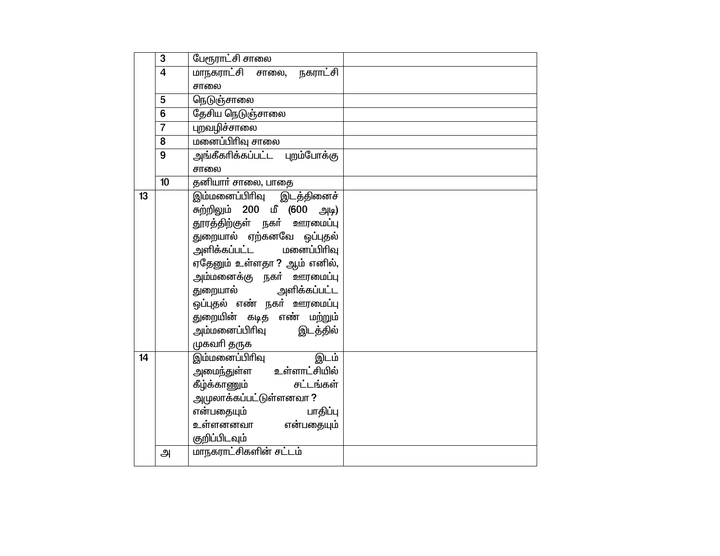|    | 3                       | பேரூராட்சி சாலை                        |
|----|-------------------------|----------------------------------------|
|    | $\overline{\mathbf{4}}$ | <u>மாநகராட்சி சாலை,</u><br>நகராட்சி    |
|    |                         | சாலை                                   |
|    | 5                       | நெடுஞ்சாலை                             |
|    | 6                       | தேசிய நெடுஞ்சாலை                       |
|    | $\overline{7}$          | புறவழிச்சாலை                           |
|    | 8                       | மனைப்பிரிவு சாலை                       |
|    | $\overline{9}$          | அங்கீகரிக்கப்பட்ட புறம்போக்கு          |
|    |                         | சாலை                                   |
|    | 10                      | தனியாா் சாலை, பாதை                     |
| 13 |                         | <mark>இம்மனைப்பிரிவு</mark> இடத்தினைச் |
|    |                         | சுற்றிலும் 200 மீ (600 அடி)            |
|    |                         | தூரத்திற்குள் நகர் ஊரமைப்பு            |
|    |                         | துறையால் ஏற்கனவே ஒப்புதல்              |
|    |                         | அளிக்கப்பட்ட மனைப்பிரிவு               |
|    |                         | ஏதேனும் உள்ளதா? ஆம் எனில்,             |
|    |                         | அம்மனைக்கு நகா் ஊரமைப்பு               |
|    |                         | துறையால் அளிக்கப்பட்ட                  |
|    |                         | ஒப்புதல் எண் நகர் ஊரமைப்பு             |
|    |                         | துறையின் கடித எண் மற்றும்              |
|    |                         | அம்மனைப்பிரிவு இடத்தில்                |
|    |                         | முகவரி தருக                            |
| 14 |                         | இம்மனைப்பிரிவு<br>இடம்                 |
|    |                         | அமைந்துள்ள உள்ளாட்சியில <mark>்</mark> |
|    |                         | கீழ்க்காணும் <b>சட்டங்கள்</b>          |
|    |                         | <u>அ</u> முலாக்கப்பட்டுள்ளனவா ?        |
|    |                         | என்பதையும்<br>பாதிப்பு                 |
|    |                         | உள்ளனனவா என்பதையும்                    |
|    |                         | குறிப்பிடவும்                          |
|    | அ                       | மாநகராட்சிகளின் சட்டம்                 |
|    |                         |                                        |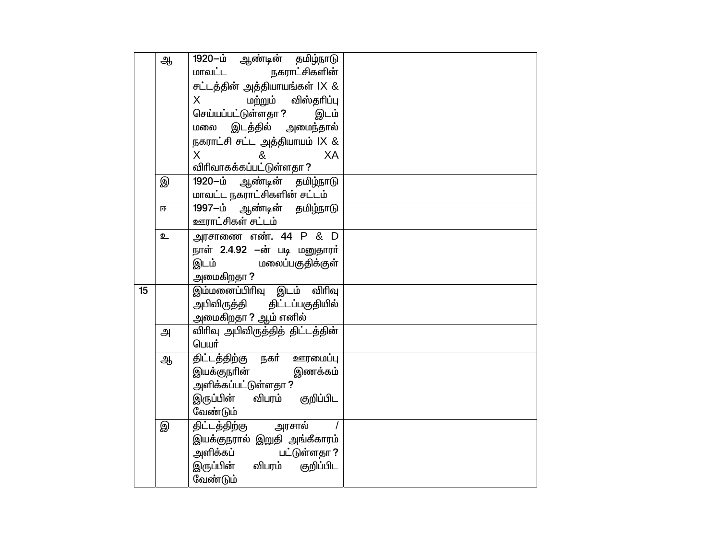|    | ஆ | 1920-ம் ஆண்டின் தமிழ்நாடு              |
|----|---|----------------------------------------|
|    |   | நகராட்சிகளின்<br>மாவட்ட                |
|    |   | சட்டத்தின் அத்தியாயங்கள் IX &          |
|    |   | மற்றும் விஸ்தாிப்பு<br>X.              |
|    |   | செய்யப்பட்டுள்ளதா ?<br>இடம்            |
|    |   | இடத்தில் அமைந்தால்<br>மலை              |
|    |   | நகராட்சி சட்ட அத்தியாயம் IX &          |
|    |   | $\mathsf{X}$<br>&<br>XA                |
|    |   | விரிவாகக்கப்பட்டுள்ளதா ?               |
|    | இ | 1920-ம்<br>ஆண்டின் தம <u>ிழ்</u> நாடு  |
|    |   | மாவட்ட நகராட்சிகளின் சட்டம்            |
|    | 匝 | 1997-ம் ஆண்டின் தமிழ்நாடு              |
|    |   | ஊராட்சிகள் சட்டம்                      |
|    | உ | அரசாணை எண். 44 P & D                   |
|    |   | நாள் 2.4.92 –ன் படி மனுதாரா்           |
|    |   | இடம்<br>மலைப்பகுதிக்குள்               |
|    |   | அமைகிறதா ?                             |
| 15 |   | இம்மனைப்பிரிவு இடம் விரிவு             |
|    |   | அபிவிருத்தி திட்டப்பகுதியில்           |
|    |   | அமைகிறதா ? ஆம் எனில்                   |
|    | அ | விரிவு அபிவிருத்தித் திட்டத்தின்       |
|    |   | பெயர்                                  |
|    | ஆ | திட்டத்திற்கு நகர் ஊரமைப்பு            |
|    |   | இயக்குநரின்<br>இணக்கம்                 |
|    |   | அளிக்கப்பட்டுள்ளதா ?                   |
|    |   | இருப்பின் விபரம் குறிப்பிட             |
|    |   | வேண்டும்                               |
|    | இ | அரசால்<br>திட்டத்திற்கு                |
|    |   | இயக்குநரால் இறுதி அங்கீகாரம்           |
|    |   | அளிக்கப் பட்டுள்ளதா ?                  |
|    |   | இருப்பின் விபரம் குறிப்பிட<br>வேண்டும் |
|    |   |                                        |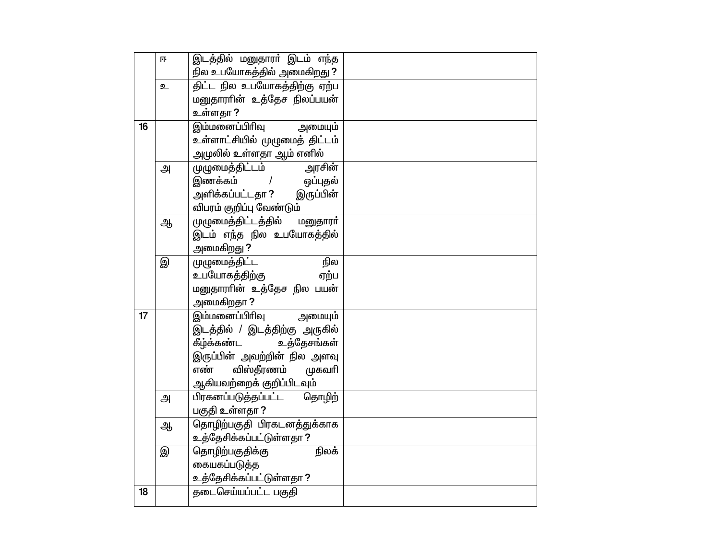|    | 匝 | இடத்தில் மனுதாரா் இடம் எ <u>ந்</u> த                    |
|----|---|---------------------------------------------------------|
|    |   | நில உபயோகத்தில் அமைகிறது ?                              |
|    | உ | திட்ட நில உபயோகத்திற்கு ஏற்ப                            |
|    |   | மனுதாராின் உத்தேச நிலப்பயன்                             |
|    |   | உள்ளதா ?                                                |
| 16 |   | <u>இம்மனைப்பிரிவு அ</u> மையும்                          |
|    |   | உள்ளாட்சியில் முழுமைத் திட்டம்                          |
|    |   | அமுலில் உள்ளதா ஆம் எனில்                                |
|    | அ | முழுமைத்திட்டம்<br>அரசின்                               |
|    |   | இணக்கம் / ஒப்புதல்                                      |
|    |   | அளிக்கப்பட்டதா ? இருப்பின்                              |
|    |   | விபரம் குறிப்பு வேண்டும்                                |
|    | ஆ | முழுமைத்திட்டத்தில் மனுதாரா்                            |
|    |   | இடம் எந்த நில உபயோகத்தில்                               |
|    |   | அமைகிறது ?                                              |
|    | இ | முழுமைத்திட்ட<br>நில                                    |
|    |   | உபயோகத்திற்கு<br>ஏற்ப                                   |
|    |   | மனுதாராின் உத்தேச நில பயன்                              |
| 17 |   | அமைகிறதா ?                                              |
|    |   | <u>இம்மனைப்பி</u> ரிவு அமையும்                          |
|    |   | இடத்தில் / இடத்திற்கு அருகில்<br>கீழ்க்கண்ட உத்தேசங்கள் |
|    |   | இருப்பின் அவற்றின் நில அளவு                             |
|    |   | விஸ்தீரணம்<br>எண்<br>முகவரி                             |
|    |   | ஆகியவற்றைக் குறிப்பிடவும்                               |
|    | அ | பிரகனப்படுத்தப்பட்ட தொழிற்                              |
|    |   | பகுதி உள்ளதா ?                                          |
|    | ஆ | தொழிற்பகுதி பிரகடனத்துக்காக                             |
|    |   | உத்தேசிக்கப்பட்டுள்ளதா ?                                |
|    | இ | தொழிற்பகுதிக்கு<br>நிலக்                                |
|    |   | கையகப்படுத்த                                            |
|    |   | உத்தேசிக்கப்பட்டுள்ளதா ?                                |
| 18 |   | தடைசெய்யப்பட்ட பகுதி                                    |
|    |   |                                                         |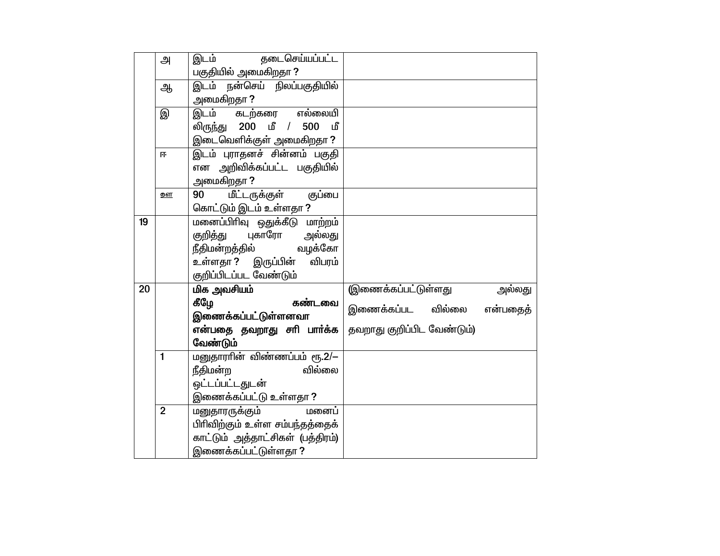|    | அ              | தடைசெய்யப்பட்ட<br>இடம்                  |                            |          |
|----|----------------|-----------------------------------------|----------------------------|----------|
|    |                | பகுதியில் அமைகிறதா?                     |                            |          |
|    | ஆ              | <u>இடம் நன்செய் நிலப்பகுதியில்</u>      |                            |          |
|    |                | அமைகிறதா ?                              |                            |          |
|    | இ              | எல்லையி<br>இடம் கடற்கரை                 |                            |          |
|    |                | லிருந்து 200 மீ <i>/</i><br>500<br>ட மீ |                            |          |
|    |                | இடைவெளிக்குள் அமைகிறதா ?                |                            |          |
|    | 匝              | <u>இடம் புராதனச் சின்னம் பகுதி</u>      |                            |          |
|    |                | என அறிவிக்கப்பட்ட பகுதியில்             |                            |          |
|    |                | அமைகிறதா ?                              |                            |          |
|    | றள             | மீட்டருக்குள்<br>குப்பை<br>90           |                            |          |
|    |                | கொட்டும் இடம் உள்ளதா ?                  |                            |          |
| 19 |                | மனைப்பிரிவு ஒதுக்கீடு மாற்றம்           |                            |          |
|    |                | குறித்து புகாரோ<br>அல்லது               |                            |          |
|    |                | நீதிமன்றத்தில்<br>வழக்கோ                |                            |          |
|    |                | உள்ளதா ? இருப்பின்<br>விபரம்            |                            |          |
|    |                | குறிப்பிடப்பட வேண்டும்                  |                            |          |
| 20 |                | மிக அவசியம்                             | இணைக்கப்பட்டுள்ளது         | அல்லது   |
|    |                | கீழே<br>கண்டவை                          | இணைக்கப்பட வில்லை          | என்பதைத் |
|    |                | இணைக்கப்பட்டுள்ளனவா                     |                            |          |
|    |                | என்பதை தவறாது சாி பாா்க்க               | தவறாது குறிப்பிட வேண்டும்) |          |
|    |                | வேண்டும்                                |                            |          |
|    | $\mathbf{1}$   | மனுதாராின் விண்ணப்பம் ரூ.2/-            |                            |          |
|    |                | வில்லை<br>நீதிமன்ற                      |                            |          |
|    |                | ஒட்டப்பட்டதுடன்                         |                            |          |
|    |                | இணைக்கப்பட்டு உள்ளதா ?                  |                            |          |
|    | $\overline{2}$ | மனைப்<br>மனுதாரருக்கும்                 |                            |          |
|    |                | பிரிவிற்கும் உள்ள சம்பந்தத்தைக்         |                            |          |
|    |                | காட்டும் அத்தாட்சிகள் (பத்திரம்)        |                            |          |
|    |                | இணைக்கப்பட்டுள்ளதா <b>?</b>             |                            |          |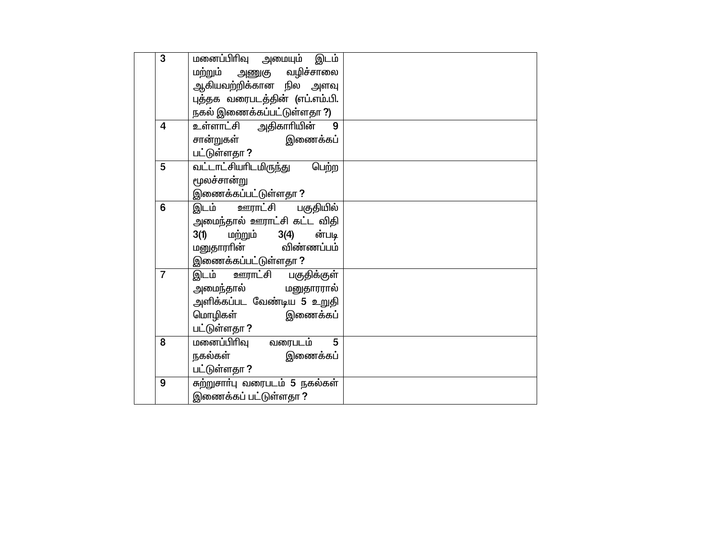| 3              | மனைப்பிரிவு அமையும் இடம்              |  |
|----------------|---------------------------------------|--|
|                | மற்றும் அணுகு வழிச்சாலை               |  |
|                | ்<br>ஆகியவற்றிக்கான நில அளவு          |  |
|                | புத்தக வரைபடத்தின் (எப்.எம்.பி.       |  |
|                | நகல் இணைக்கப்பட்டுள்ளதா ?)            |  |
| 4              | உள்ளாட்சி அதிகாரியின்                 |  |
|                | சான்றுகள் <b>இணைக்க</b> ப்            |  |
|                | பட்டுள்ளதா ?                          |  |
| 5              | <u>வட்டாட்சியாிடமிருந்து</u><br>பெற்ற |  |
|                | ருலச்சான்று                           |  |
|                | இணைக்கப்பட்டுள்ளதா ?                  |  |
| 6              | <u>இடம் ஊராட்சி</u><br>பகுதியில்      |  |
|                | அமைந்தால் ஊராட்சி கட்ட விதி           |  |
|                | மற்றும் 3(4)<br>ன்படி<br>3(1)         |  |
|                | மனுதாராின் விண்ணப்பம்                 |  |
|                | இணைக்கப்பட்டுள்ளதா ?                  |  |
| $\overline{7}$ | <u>இடம் ஊராட்</u> சி பகுதிக்குள்      |  |
|                | அமைந்தால் மனுதாரரால்                  |  |
|                | அளிக்கப்பட வேண்டிய 5 உறுதி            |  |
|                | மொழிகள் இணைக்கப்                      |  |
|                | பட்டுள்ளதா ?                          |  |
| 8              | மனைப்பிரிவு<br>வரைபடம்<br>5           |  |
|                | நகல்கள்<br>இணைக்கப்                   |  |
|                | பட்டுள்ளதா ?                          |  |
| 9              | சுற்றுசாா்பு வரைபடம் 5 நகல்கள்        |  |
|                | இணைக்கப் பட்டுள்ளதா ?                 |  |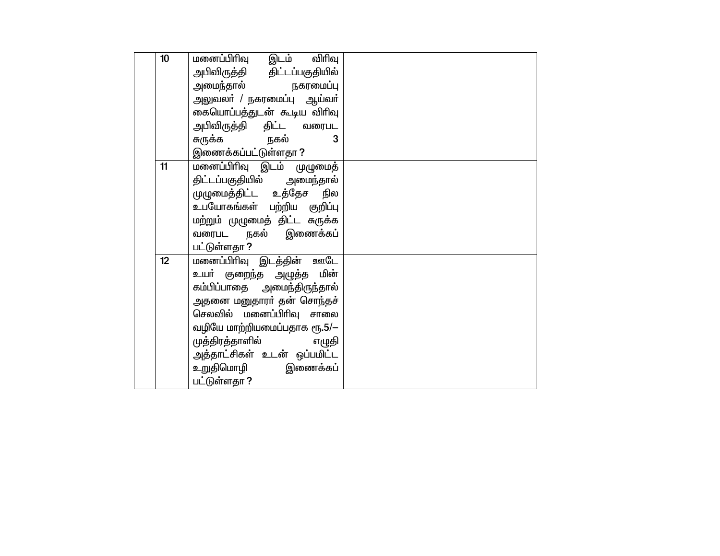| 10 | மனைப்பிரிவு இடம் விரிவு<br>அபிவிருத்தி திட்டப்பகுதியில்<br>அமைந்தால் நகரமைப்பு<br>அலுவலா் / நகரமைப்பு ஆய்வா்<br>கையொப்பத்துடன் கூடிய விரிவு<br>அபிவிருத்தி திட்ட வரைபட<br>சுருக்க நகல்<br>3                                                                                       |  |
|----|-----------------------------------------------------------------------------------------------------------------------------------------------------------------------------------------------------------------------------------------------------------------------------------|--|
|    | இணைக்கப்பட்டுள்ளதா <b>?</b>                                                                                                                                                                                                                                                       |  |
| 11 | மனைப்பிரிவு இடம் முழுமைத்<br>திட்டப்பகுதியில் அமைந்தால்<br>முழுமைத்திட்ட உத்தேச நில<br>உபயோகங்கள் பற்றிய குறிப்பு<br>மற்றும் முழுமைத் திட்ட சுருக்க<br>வரைபட நகல் இணைக்கப்<br>பட்டுள்ளதா ?                                                                                        |  |
| 12 | <u>மனைப்பிரிவு இடத்தின் ஊடே</u><br>உயா் குறைந்த அழுத்த மின்<br>கம்பிப்பாதை அமைந்திருந்தால்<br>அதனை மனுதாரா் தன் சொந்தச்<br>செலவில் மனைப்பிரிவு சாலை<br>வழியே மாற்றியமைப்பதாக ரூ.5/-<br>முத்திரத்தாளில் எழுதி<br>அத்தாட்சிகள் உடன் ஒப்பமிட்ட<br>உறுதிமொழி இணைக்கப்<br>பட்டுள்ளதா ? |  |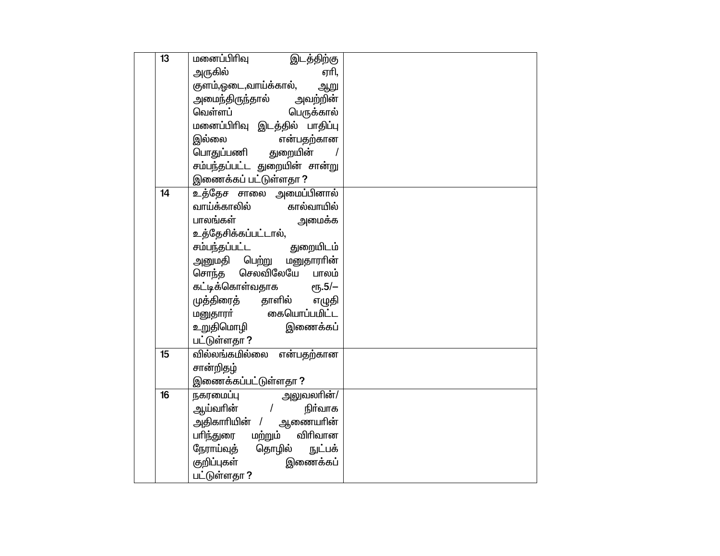| 13 | மனைப்பிரிவு<br>இடத்திற்கு                            |  |
|----|------------------------------------------------------|--|
|    | அருகில்<br>ஏரி,                                      |  |
|    | குளம்,ஓடை,வாய்க்கால்,<br>ஆறு                         |  |
|    | அமைந்திருந்தால் அவற்றின்                             |  |
|    | வெள்ளப்<br>பெருக்கால்                                |  |
|    | மனைப்பிரிவு இடத்தில் பாதிப்பு                        |  |
|    | இல்லை<br>என்பதற்கான                                  |  |
|    | பொதுப்பணி துறையின்                                   |  |
|    | சம்பந்தப்பட்ட துறையின் சான்று                        |  |
|    | இணைக்கப் பட்டுள்ளதா ?                                |  |
| 14 | உத்தேச சாலை அமைப்பினால்                              |  |
|    | வாய்க்காலில்<br>கால்வாயில்                           |  |
|    | பாலங்கள்<br>அமைக்க                                   |  |
|    | உத்தேசிக்கப்பட்டால்,                                 |  |
|    |                                                      |  |
|    | அனுமதி பெற்று மனுதாராின்                             |  |
|    | சொந்த செலவிலேயே பாலம்                                |  |
|    | கட்டிக்கொள்வதாக ரூ.5/—<br>முத்திரைத் தாளில் எழுதி    |  |
|    |                                                      |  |
|    | மனுதாரா் கையொப்பமிட்ட                                |  |
|    | உரு<br>உறுதிமொழி இணைக்கப்                            |  |
|    | பட்டுள்ளதா ?                                         |  |
| 15 | வில்லங்கமில்லை என்பதற்கான                            |  |
|    | சான்றிதழ்                                            |  |
| 16 | இணைக்கப்பட்டுள்ளதா <b>?</b>                          |  |
|    | நகரமைப்பு அலுவலாின்/<br>ஆய்வாின் / நிா்வாக           |  |
|    |                                                      |  |
|    | அதிகாரியின் / ஆணையாின்                               |  |
|    | பாிந்துரை மற்றும் விாிவான                            |  |
|    | நேராய்வுத் தொழில் நுட்பக்<br>குறிப்புகள்<br>இணைக்கப் |  |
|    | பட்டுள்ளதா ?                                         |  |
|    |                                                      |  |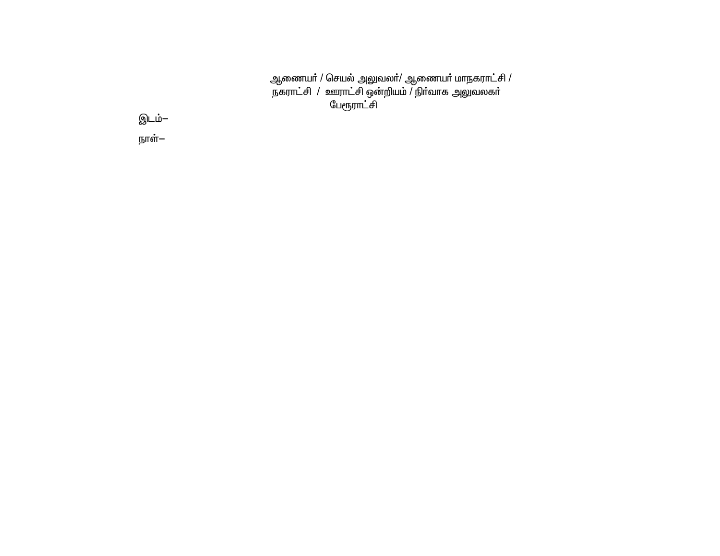ஆணையா் / செயல் அலுவலா்/ ஆணையா் மாநகராட்சி /<br>நகராட்சி / ஊராட்சி ஒன்றியம் / நிா்வாக அலுவலகா்<br>பேரூராட்சி

இடம்– நாள்—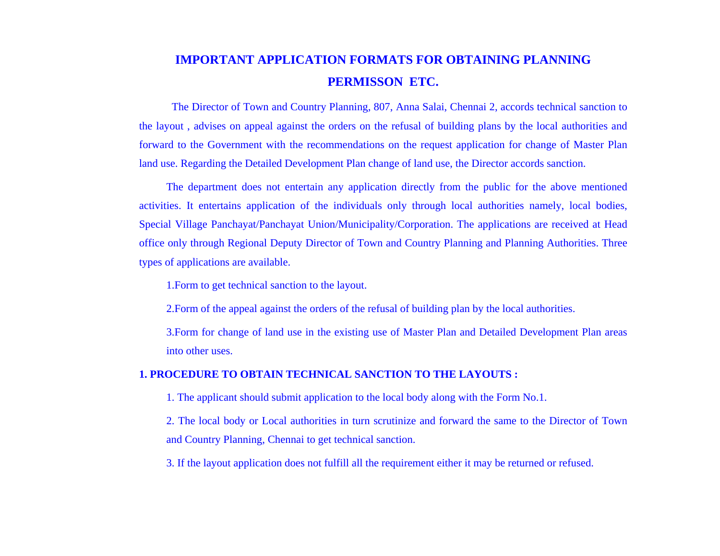# **IMPORTANT APPLICATION FORMATS FOR OBTAINING PLANNING PERMISSON ETC.**

The Director of Town and Country Planning, 807, Anna Salai, Chennai 2, accords technical sanction to the layout , advises on appeal against the orders on the refusal of building plans by the local authorities and forward to the Government with the recommendations on the request application for change of Master Plan land use. Regarding the Detailed Development Plan change of land use, the Director accords sanction.

The department does not entertain any application directly from the public for the above mentioned activities. It entertains application of the individuals only through local authorities namely, local bodies, Special Village Panchayat/Panchayat Union/Municipality/Corporation. The applications are received at Head office only through Regional Deputy Director of Town and Country Planning and Planning Authorities. Three types of applications are available.

1.Form to get technical sanction to the layout.

2.Form of the appeal against the orders of the refusal of building plan by the local authorities.

3.Form for change of land use in the existing use of Master Plan and Detailed Development Plan areas into other uses.

#### **1. PROCEDURE TO OBTAIN TECHNICAL SANCTION TO THE LAYOUTS :**

1. The applicant should submit application to the local body along with the Form No.1.

2. The local body or Local authorities in turn scrutinize and forward the same to the Director of Town and Country Planning, Chennai to get technical sanction.

3. If the layout application does not fulfill all the requirement either it may be returned or refused.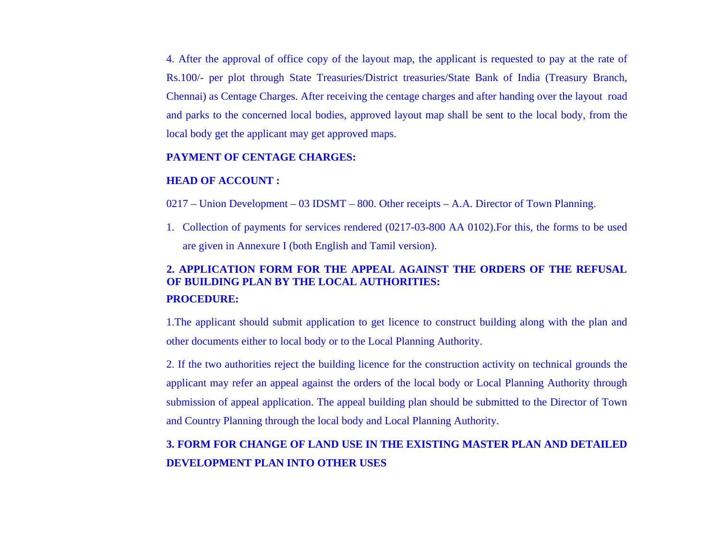4. After the approval of office copy of the layout map, the applicant is requested to pay at the rate of Rs.100/- per plot through State Treasuries/District treasuries/State Bank of India (Treasury Branch, Chennai) as Centage Charges. After receiving the centage charges and after handing over the layout road and parks to the concerned local bodies, approved layout map shall be sent to the local body, from the local body get the applicant may get approved maps.

#### **PAYMENT OF CENTAGE CHARGES:**

#### **HEAD OF ACCOUNT :**

- 0217 Union Development 03 IDSMT 800. Other receipts A.A. Director of Town Planning.
- 1. Collection of payments for services rendered (0217-03-800 AA 0102).For this, the forms to be used are given in Annexure I (both English and Tamil version).

# **2. APPLICATION FORM FOR THE APPEAL AGAINST THE ORDERS OF THE REFUSAL OF BUILDING PLAN BY THE LOCAL AUTHORITIES: PROCEDURE:**

1.The applicant should submit application to get licence to construct building along with the plan and other documents either to local body or to the Local Planning Authority.

2. If the two authorities reject the building licence for the construction activity on technical grounds the applicant may refer an appeal against the orders of the local body or Local Planning Authority through submission of appeal application. The appeal building plan should be submitted to the Director of Town and Country Planning through the local body and Local Planning Authority.

# **3. FORM FOR CHANGE OF LAND USE IN THE EXISTING MASTER PLAN AND DETAILED DEVELOPMENT PLAN INTO OTHER USES**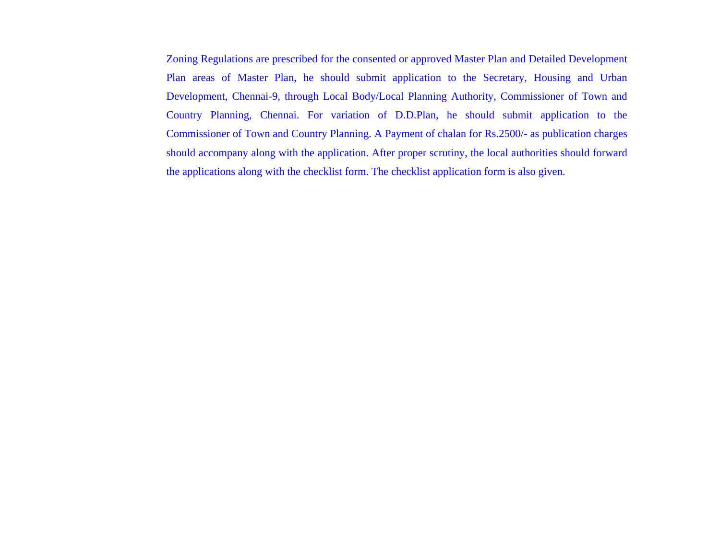Zoning Regulations are prescribed for the consented or approved Master Plan and Detailed Development Plan areas of Master Plan, he should submit application to the Secretary, Housing and Urban Development, Chennai-9, through Local Body/Local Planning Authority, Commissioner of Town and Country Planning, Chennai. For variation of D.D.Plan, he should submit application to the Commissioner of Town and Country Planning. A Payment of chalan for Rs.2500/- as publication charges should accompany along with the application. After proper scrutiny, the local authorities should forward the applications along with the checklist form. The checklist application form is also given.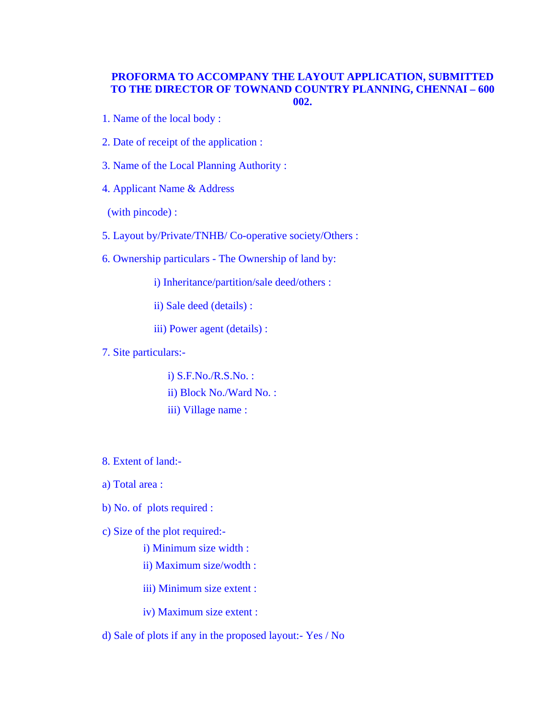#### **PROFORMA TO ACCOMPANY THE LAYOUT APPLICATION, SUBMITTED TO THE DIRECTOR OF TOWNAND COUNTRY PLANNING, CHENNAI – 600 002.**

- 1. Name of the local body :
- 2. Date of receipt of the application :
- 3. Name of the Local Planning Authority :
- 4. Applicant Name & Address

(with pincode) :

- 5. Layout by/Private/TNHB/ Co-operative society/Others :
- 6. Ownership particulars The Ownership of land by:
	- i) Inheritance/partition/sale deed/others :

ii) Sale deed (details) :

iii) Power agent (details) :

7. Site particulars:-

i) S.F.No./R.S.No. : ii) Block No./Ward No. : iii) Village name :

- 8. Extent of land:-
- a) Total area :
- b) No. of plots required :
- c) Size of the plot required:
	- i) Minimum size width :
	- ii) Maximum size/wodth :

iii) Minimum size extent :

iv) Maximum size extent :

d) Sale of plots if any in the proposed layout:- Yes / No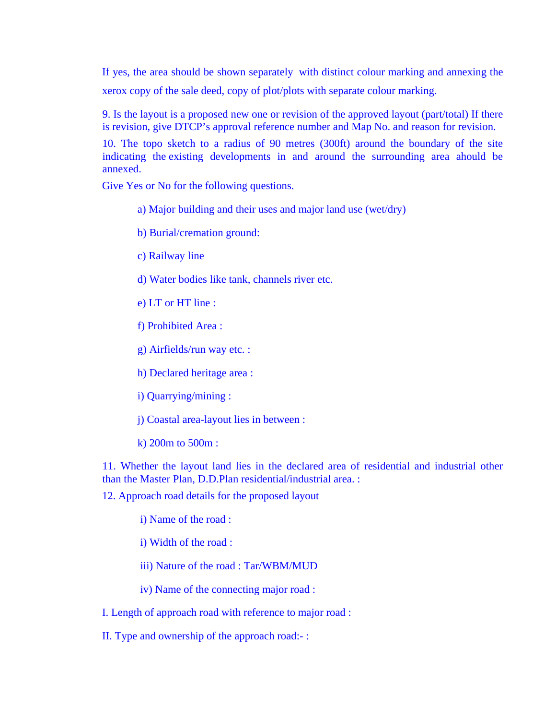If yes, the area should be shown separately with distinct colour marking and annexing the xerox copy of the sale deed, copy of plot/plots with separate colour marking.

9. Is the layout is a proposed new one or revision of the approved layout (part/total) If there is revision, give DTCP's approval reference number and Map No. and reason for revision.

10. The topo sketch to a radius of 90 metres (300ft) around the boundary of the site indicating the existing developments in and around the surrounding area ahould be annexed.

Give Yes or No for the following questions.

- a) Major building and their uses and major land use (wet/dry)
- b) Burial/cremation ground:
- c) Railway line
- d) Water bodies like tank, channels river etc.
- e) LT or HT line :
- f) Prohibited Area :
- g) Airfields/run way etc. :
- h) Declared heritage area :
- i) Quarrying/mining :
- j) Coastal area-layout lies in between :
- k) 200m to 500m :

11. Whether the layout land lies in the declared area of residential and industrial other than the Master Plan, D.D.Plan residential/industrial area. :

12. Approach road details for the proposed layout

i) Name of the road :

- i) Width of the road :
- iii) Nature of the road : Tar/WBM/MUD
- iv) Name of the connecting major road :
- I. Length of approach road with reference to major road :
- II. Type and ownership of the approach road:- :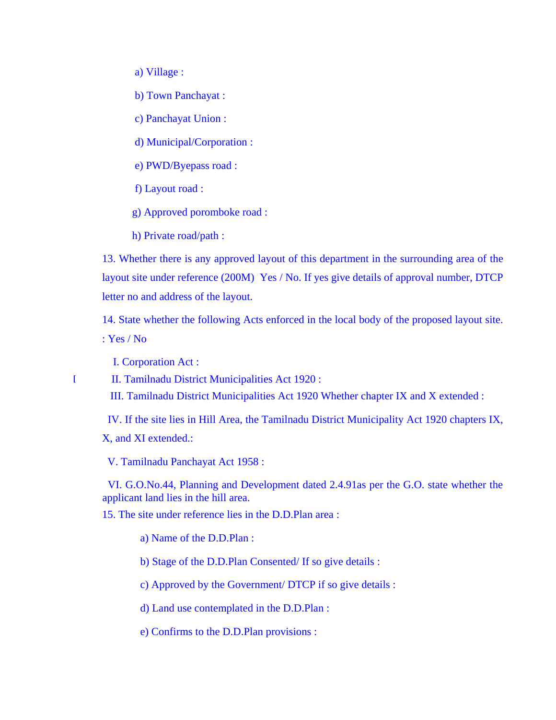a) Village :

b) Town Panchayat :

c) Panchayat Union :

d) Municipal/Corporation :

e) PWD/Byepass road :

f) Layout road :

g) Approved poromboke road :

h) Private road/path :

13. Whether there is any approved layout of this department in the surrounding area of the layout site under reference (200M) Yes / No. If yes give details of approval number, DTCP letter no and address of the layout.

14. State whether the following Acts enforced in the local body of the proposed layout site. : Yes / No

I. Corporation Act :

I II. Tamilnadu District Municipalities Act 1920 :

III. Tamilnadu District Municipalities Act 1920 Whether chapter IX and X extended :

 IV. If the site lies in Hill Area, the Tamilnadu District Municipality Act 1920 chapters IX, X, and XI extended.:

V. Tamilnadu Panchayat Act 1958 :

 VI. G.O.No.44, Planning and Development dated 2.4.91as per the G.O. state whether the applicant land lies in the hill area.

15. The site under reference lies in the D.D.Plan area :

a) Name of the D.D.Plan :

b) Stage of the D.D.Plan Consented/ If so give details :

c) Approved by the Government/ DTCP if so give details :

d) Land use contemplated in the D.D.Plan :

e) Confirms to the D.D.Plan provisions :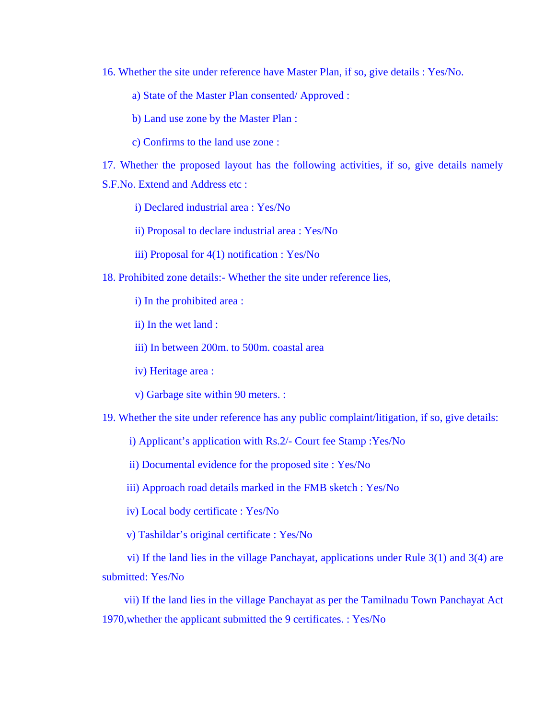16. Whether the site under reference have Master Plan, if so, give details : Yes/No.

a) State of the Master Plan consented/ Approved :

b) Land use zone by the Master Plan :

c) Confirms to the land use zone :

17. Whether the proposed layout has the following activities, if so, give details namely S.F.No. Extend and Address etc :

i) Declared industrial area : Yes/No

ii) Proposal to declare industrial area : Yes/No

iii) Proposal for 4(1) notification : Yes/No

18. Prohibited zone details:- Whether the site under reference lies,

i) In the prohibited area :

ii) In the wet land :

iii) In between 200m. to 500m. coastal area

iv) Heritage area :

v) Garbage site within 90 meters. :

19. Whether the site under reference has any public complaint/litigation, if so, give details:

i) Applicant's application with Rs.2/- Court fee Stamp :Yes/No

ii) Documental evidence for the proposed site : Yes/No

iii) Approach road details marked in the FMB sketch : Yes/No

iv) Local body certificate : Yes/No

v) Tashildar's original certificate : Yes/No

 vi) If the land lies in the village Panchayat, applications under Rule 3(1) and 3(4) are submitted: Yes/No

 vii) If the land lies in the village Panchayat as per the Tamilnadu Town Panchayat Act 1970,whether the applicant submitted the 9 certificates. : Yes/No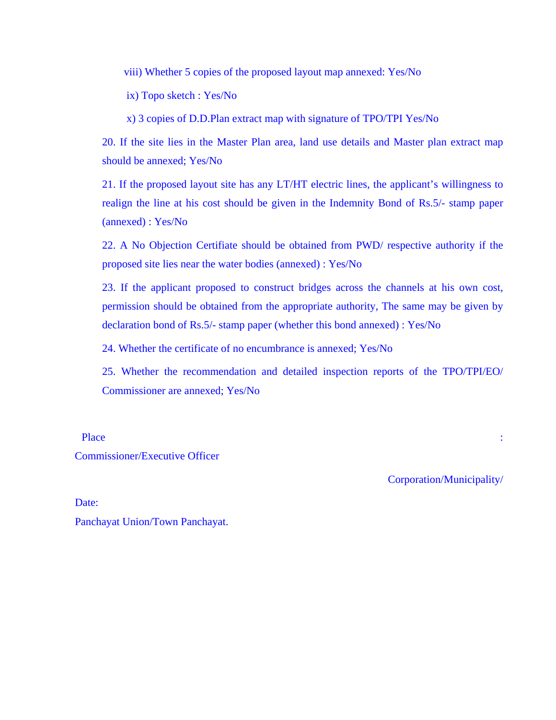viii) Whether 5 copies of the proposed layout map annexed: Yes/No

ix) Topo sketch : Yes/No

x) 3 copies of D.D.Plan extract map with signature of TPO/TPI Yes/No

20. If the site lies in the Master Plan area, land use details and Master plan extract map should be annexed; Yes/No

21. If the proposed layout site has any LT/HT electric lines, the applicant's willingness to realign the line at his cost should be given in the Indemnity Bond of Rs.5/- stamp paper (annexed) : Yes/No

22. A No Objection Certifiate should be obtained from PWD/ respective authority if the proposed site lies near the water bodies (annexed) : Yes/No

23. If the applicant proposed to construct bridges across the channels at his own cost, permission should be obtained from the appropriate authority, The same may be given by declaration bond of Rs.5/- stamp paper (whether this bond annexed) : Yes/No

24. Whether the certificate of no encumbrance is annexed; Yes/No

25. Whether the recommendation and detailed inspection reports of the TPO/TPI/EO/ Commissioner are annexed; Yes/No

Place the contract of the contract of the contract of the contract of the contract of the contract of the contract of the contract of the contract of the contract of the contract of the contract of the contract of the cont

Commissioner/Executive Officer

Corporation/Municipality/

Date: Panchayat Union/Town Panchayat.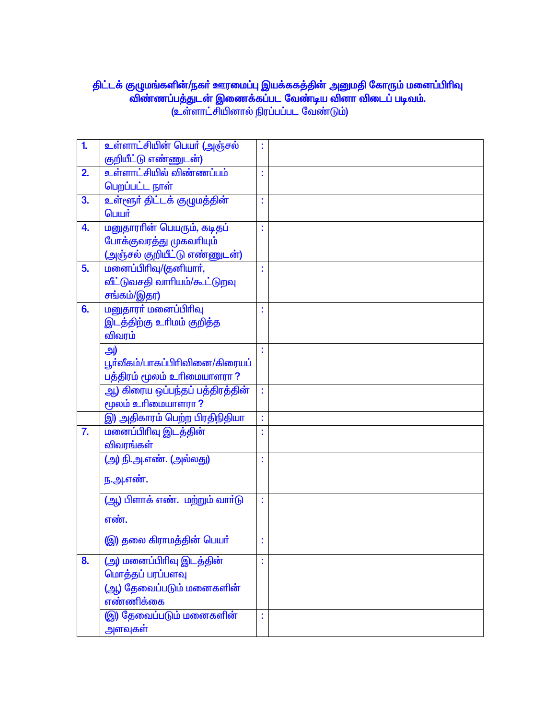# திட்டக் குழுமங்களின்/நகா் ஊரமைப்பு இயக்ககத்தின் அனுமதி கோரும் மனைப்பிரிவு<br>விண்ணப்பத்துடன் இணைக்கப்பட வேண்டிய வினா விடைப் படிவம்.<br>(உள்ளாட்சியினால் நிரப்பப்பட வேண்டும்)

| 1.               | உள்ளாட்சியின் பெயர் (அஞ்சல்                   | t  |  |
|------------------|-----------------------------------------------|----|--|
|                  | குறியீட்டு எண்ணுடன்)                          |    |  |
| 2.               | <u>உள்ளாட்சியில் விண்ணப்பம்</u>               | t  |  |
|                  | பெறப்பட்ட நாள்                                |    |  |
| 3.               | உள்ளூர் திட்டக் குழுமத்தின்                   | t  |  |
|                  | பெயர்                                         |    |  |
| 4.               | மனுதாராின் பெயரும், கடிதப்                    | t  |  |
|                  | போக்குவரத்து முகவரியும்                       |    |  |
|                  | (அஞ்சல் குறியீட்டு எண்ணுடன்)                  |    |  |
| 5.               | மனைப்பிரிவு/(தனியார்,                         |    |  |
|                  | வீட்டுவசதி வாரியம்/கூட்டுறவு                  |    |  |
|                  | சங்கம்/இதர)                                   |    |  |
| 6.               | மனுதாரா் மனைப்பிரிவு                          |    |  |
|                  | இடத்திற்கு உரிமம் குறித்த                     |    |  |
|                  | விவரம்                                        |    |  |
|                  | அ)                                            | t  |  |
|                  | பூர்வீகம்/பாகப்பிரிவினை/கிரையப்               |    |  |
|                  | பத்திரம் மூலம் உரிமையாளரா ?                   |    |  |
|                  | ஆ <mark>) கிரைய ஒப்பந்தப் பத்திரத்தின்</mark> | ř, |  |
|                  | மூலம் உரிமையாளரா ?                            |    |  |
|                  | இ) அதிகாரம் பெற்ற பிரதிநிதியா                 | t  |  |
| $\overline{7}$ . | மனைப்பிரிவு இடத்தின்                          | t  |  |
|                  | விவரங்கள்                                     |    |  |
|                  | (அ) நி.அ.எண். (அல்லது)                        | t  |  |
|                  | ந.அ.எண்.                                      |    |  |
|                  |                                               |    |  |
|                  | (ஆ) பிளாக் எண். மற்றும் வார்டு                | t  |  |
|                  | எண்.                                          |    |  |
|                  |                                               |    |  |
|                  | (இ) தலை கிராமத்தின் பெயர்                     | t  |  |
| 8.               | (அ) மனைப்பிரிவு இடத்தின்                      |    |  |
|                  | மொத்தப் பரப்பளவு                              |    |  |
|                  | <mark>(ஆ) தேவைப்படும் மனைகளின்</mark>         |    |  |
|                  | எண்ணிக்கை                                     |    |  |
|                  | <mark>(இ) தேவைப்படும் மனைகளின்</mark>         |    |  |
|                  | அளவுகள்                                       |    |  |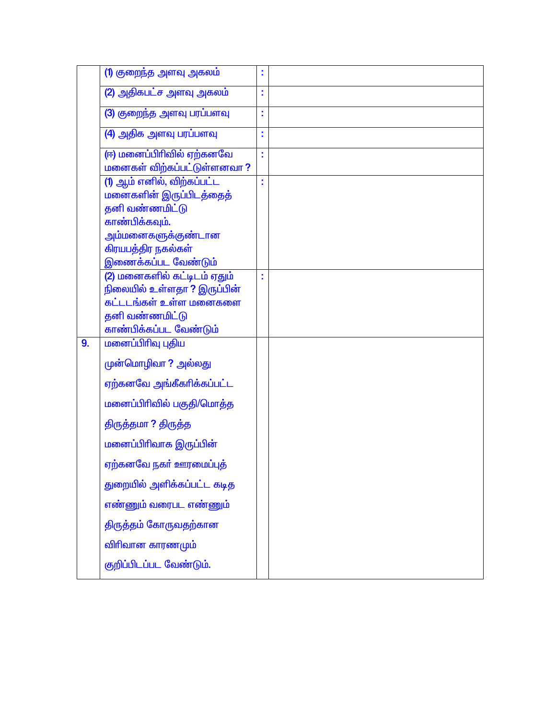|    | (1) குறைந்த அளவு அகலம்                                                                                        | Ì  |  |
|----|---------------------------------------------------------------------------------------------------------------|----|--|
|    | (2) அதிகபட்ச அளவு அகலம்                                                                                       | t  |  |
|    | (3) குறைந்த அளவு பரப்பளவு                                                                                     | Ì  |  |
|    | (4) அதிக அளவு பரப்பளவு                                                                                        | ř, |  |
|    | (ஈ) மனைப்பிரிவில் ஏற்கனவே<br>மனைகள் விற்கப்பட்டுள்ளனவா?                                                       | t  |  |
|    | (1) ஆம் எனில், விற்கப்பட்ட<br>மனைகளின் இருப்பிடத்தைத்<br>தனி வண்ணமிட்டு                                       |    |  |
|    | காண்பிக்கவும்.<br><mark>அம்மனைகளுக்குண்டான</mark>                                                             |    |  |
|    | கிரயபத்திர நகல்கள்<br>இணைக்கப்பட வேண்டும்                                                                     |    |  |
|    | (2) மனைகளில் கட்டிடம் ஏதும்<br>நிலையில் உள்ளதா ? இருப்பின்<br>கட்டடங்கள் உள்ள மனைகளை<br><b>தனி வண்ணமிட்டு</b> | t  |  |
|    | காண்பிக்கப்பட வேண்டும்                                                                                        |    |  |
| 9. | மனைப்பிரிவு புதிய                                                                                             |    |  |
|    | முன்மொழிவா ? அல்லது                                                                                           |    |  |
|    | ஏற்கனவே அங்கீகரிக்கப்பட்ட                                                                                     |    |  |
|    | மனைப்பிரிவில் பகுதி/மொத்த                                                                                     |    |  |
|    | திருத்தமா ? திருத்த                                                                                           |    |  |
|    | மனைப்பிரிவாக இருப்பின்                                                                                        |    |  |
|    | ஏற்கனவே நகர் ஊரமைப்புத்                                                                                       |    |  |
|    | துறையில் அளிக்கப்பட்ட கடித                                                                                    |    |  |
|    | எண்ணும் வரைபட எண்ணும்                                                                                         |    |  |
|    | திருத்தம் கோருவதற்கான                                                                                         |    |  |
|    | விரிவான காரணமும்                                                                                              |    |  |
|    | குறிப்பிடப்பட வேண்டும்.                                                                                       |    |  |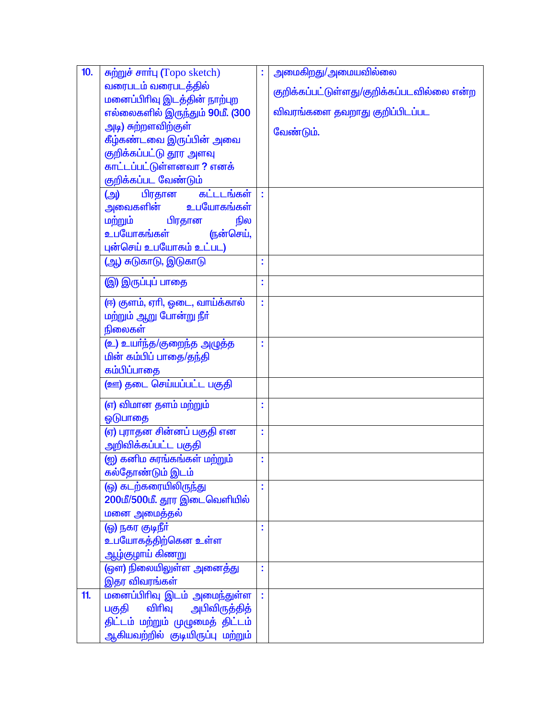| 10. | சுற்றுச் சார்பு (Topo sketch)                  | t  | அமைகிறது/அமையவில்லை                        |
|-----|------------------------------------------------|----|--------------------------------------------|
|     | வரைபடம் வரைபடத்தில்                            |    | குறிக்கப்பட்டுள்ளது/குறிக்கப்படவில்லை என்ற |
|     | மனைப்பிரிவு இடத்தின் நாற்புற                   |    |                                            |
|     | எல்லைகளில் இருந்தும் 90மீ. (300                |    | <u>விவரங்களை தவறாது குறிப்பிடப்பட</u>      |
|     | <mark>அடி) சுற்றளவிற்குள்</mark>               |    | வேண்டும்.                                  |
|     | <mark>கீழ்கண்டவை இருப்பின் அவை</mark>          |    |                                            |
|     | குறிக்கப்பட்டு தூர அளவு                        |    |                                            |
|     | காட்டப்பட்டுள்ளனவா ? எனக்                      |    |                                            |
|     | குறிக்கப்பட வேண்டும்                           |    |                                            |
|     | (அ) பிரதான<br>கட்டடங்கள்                       | ř. |                                            |
|     | அவைகளின்<br>உபயோகங்கள்                         |    |                                            |
|     | மற்றும்<br>பிரதான<br>நில                       |    |                                            |
|     | உபயோகங்கள்<br>ருன்செய்,                        |    |                                            |
|     | புன்செய் உபயோகம் உட்பட)                        |    |                                            |
|     | (ஆ) சுடுகாடு, இடுகாடு                          |    |                                            |
|     | இ) இருப்புப் பாதை                              | t  |                                            |
|     | (ஈ) குளம், ஏாி, ஓடை, வாய்க்கால்                | t  |                                            |
|     | மற்றும் ஆறு போன்று நீர்                        |    |                                            |
|     | நிலைகள்                                        |    |                                            |
|     | (உ) உயர்ந்த/குறைந்த அழுத்த                     |    |                                            |
|     | மின் கம்பிப் பாதை/தந்தி                        |    |                                            |
|     | கம்பிப்பாதை                                    |    |                                            |
|     | <u>(ஊ) தடை செய்யப்பட்ட பகுதி</u>               |    |                                            |
|     | (எ) விமான தளம் மற்றும்                         | t  |                                            |
|     | ஓடுபாதை                                        |    |                                            |
|     | (ஏ) புராதன சின்னப் பகுதி என                    | Ì  |                                            |
|     | அறிவிக்கப்பட்ட பகுதி                           |    |                                            |
|     | (ஐ) கனிம சுரங்கங்கள் மற்றும்                   |    |                                            |
|     | <mark>கல்தோண்டும் இடம்</mark>                  |    |                                            |
|     | (ஒ) கடற்கரையிலிருந்து                          |    |                                            |
|     | 200மீ/500மீ. தூர இடைவெளியில்                   |    |                                            |
|     | மனை அமைத்தல்                                   |    |                                            |
|     | (ஓ) நகர குடிநீர்                               |    |                                            |
|     | உபயோகத்திற்கென உள்ள                            |    |                                            |
|     | <u>ஆழ்குழாய் கிணறு</u>                         |    |                                            |
|     | (ஒள) நிலையிலுள்ள அனைத்து                       |    |                                            |
|     | இதர விவரங்கள்                                  |    |                                            |
| 11. | மனைப்பிரிவு இடம் அமைந்துள்ள                    |    |                                            |
|     | பகுதி விரிவு அபிவிருத்தித்                     |    |                                            |
|     | திட்டம் மற்றும் முழுமைத் திட்டம்               |    |                                            |
|     | ஆகியவற்றில் குடியிருப்பு மற்று <mark>ம்</mark> |    |                                            |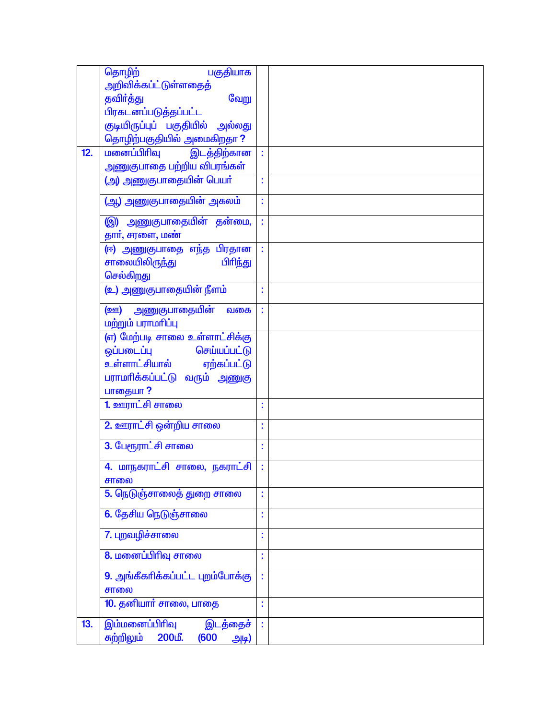|     | தொழிற்<br>பகுதியாக                     |    |  |
|-----|----------------------------------------|----|--|
|     | அறிவிக்கப்ட்டுள்ளதைத்                  |    |  |
|     | தவிர்த்து<br>வேறு                      |    |  |
|     | பிரகடனப்படுத்தப்பட்ட                   |    |  |
|     | குடியிருப்புப் பகுதியில் அல்லது        |    |  |
|     | தொழிற்பகுதியில் அமைகிறதா?              |    |  |
| 12. | மனைப்பிரிவு<br>இடத்திற்கான             |    |  |
|     | அணுகுபாதை பற்றிய விபரங்கள்             |    |  |
|     | (அ) அணுகுபாதையின் பெயர்                | t  |  |
|     | (ஆ) அணுகுபாதையின் அகலம்                | t  |  |
|     |                                        |    |  |
|     | இ) அணுகுபாதையின் தன்மை,                | ł, |  |
|     | தார், சரளை, மண்                        |    |  |
|     | (ஈ) அணுகுபாதை எந்த <mark>பிரதான</mark> | ÷  |  |
|     | சாலையிலிருந்து<br>பிரிந்து             |    |  |
|     | செல்கிறது                              |    |  |
|     | (உ) அணுகுபாதையின் நீளம்                | Ì. |  |
|     | (ஊ) அணுகுபாதையின்<br>வகை               | ř, |  |
|     | மற்றும் பராமரிப்பு                     |    |  |
|     | (எ) மேற்படி சாலை உள்ளாட்சிக்கு         |    |  |
|     | செய்யப்பட்டு<br>ஒப்படைப்பு             |    |  |
|     | உள்ளாட்சியால் ஏற்கப்பட்டு              |    |  |
|     | பராமாிக்கப்பட்டு வரும் அணுகு           |    |  |
|     | பாதையா?                                |    |  |
|     | 1. ஊராட்சி சாலை                        |    |  |
|     | 2. ஊராட்சி ஒன்றிய சாலை                 |    |  |
|     |                                        | Ì  |  |
|     | 3. பேரூராட்சி சாலை                     | Ì  |  |
|     | 4. மாநகராட்சி சாலை, நகராட்சி           | ł, |  |
|     | சாலை                                   |    |  |
|     | 5. நெடுஞ்சாலைத் துறை சாலை              | t  |  |
|     | 6. தேசிய நெடுஞ்சாலை                    | t  |  |
|     | 7. புறவழிச்சாலை                        | t  |  |
|     | 8. மனைப்பிரிவு சாலை                    | t  |  |
|     | 9. அங்கீகரிக்கப்பட்ட புறம்போக்கு       | ċ, |  |
|     | சாலை                                   |    |  |
|     | 10. தனியார் சாலை, பாதை                 | ċ  |  |
| 13. | இம்மனைப்பிரிவு<br>இடத்தைச்             |    |  |
|     | சுற்றிலும்<br>200மீ.<br>(600)<br>அடி)  |    |  |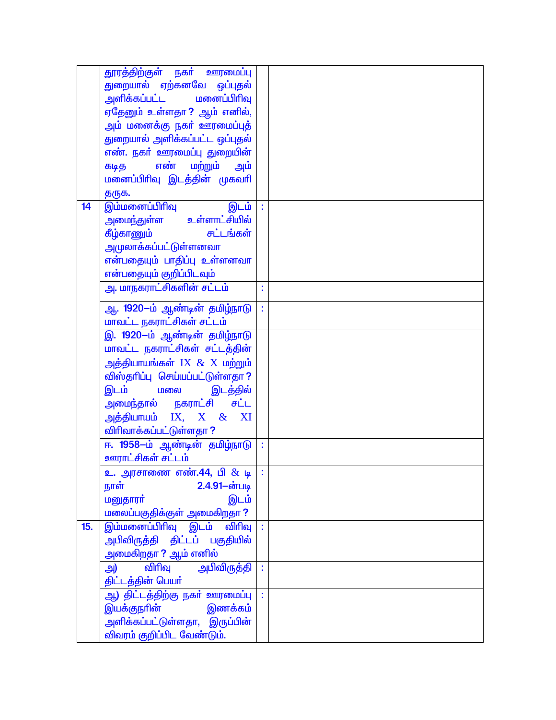|     | <del>தூரத்திற்குள் நகர் ஊரமைப்பு</del>                   |              |  |
|-----|----------------------------------------------------------|--------------|--|
|     | துறையால் ஏற்கனவே ஒப்புதல்                                |              |  |
|     |                                                          |              |  |
|     | ஏதேனும் உள்ளதா? ஆம் எனில்,                               |              |  |
|     | <u>அ</u> ம் மனைக்கு நகா் ஊரமைப்புத்                      |              |  |
|     | துறையால் அளிக்கப்பட்ட ஒப்புதல்                           |              |  |
|     |                                                          |              |  |
|     | எண். நகர் ஊரமைப்பு துறையின்                              |              |  |
|     | கடித எண் மற்றும் அம்                                     |              |  |
|     | மனைப்பிரிவு இடத்தின் முகவரி                              |              |  |
|     | தருக.                                                    |              |  |
| 14  | இம்மனைப்பிரிவு<br>இடம்                                   |              |  |
|     | அமைந்துள்ள உள்ளாட்சியில்                                 |              |  |
|     | கீழ்காணும் சட்டங்கள்                                     |              |  |
|     | <u>அமுலாக்கப்பட்டுள்ளனவா</u>                             |              |  |
|     | என்பதையும் பாதிப்பு உள்ளனவா                              |              |  |
|     | என்பதையும் குறிப்பிடவும்                                 |              |  |
|     | <u>அ. மாநகராட்சிகளின் சட்டம்</u>                         | ċ            |  |
|     | ஆ. 1920-ம் ஆண்டின் தமிழ்நாடு                             | t            |  |
|     | மாவட்ட நகராட்சிகள் சட்டம்                                |              |  |
|     | இ. 1920-ம் ஆண்டின் தமிழ்நாடு                             |              |  |
|     | மாவட்ட நகராட்சிகள் சட்டத்தின்                            |              |  |
|     | அத்தியாயங்கள் IX & X மற்றும்                             |              |  |
|     | விஸ்தரிப்பு செய்யப்பட்டுள்ளதா?                           |              |  |
|     | இடம் மலை <u>இ</u> டத்தில்                                |              |  |
|     | அமைந்தால் நகராட்சி சட்ட                                  |              |  |
|     | அத்தியாயம் IX, $X \& X$ I                                |              |  |
|     | விரிவாக்கப்பட்டுள்ளதா ?                                  |              |  |
|     | ஈ. 1958-ம் ஆண்டின் தமிழ்நாடு                             |              |  |
|     |                                                          | ÷            |  |
|     | ஊராட்சிகள் சட்டம்                                        | $\mathbf{r}$ |  |
|     | <mark>உ. அரசாணை எண்.44, பி <math>\&amp;</math> டி</mark> |              |  |
|     | 2.4.91-ன்படி<br>நாள்                                     |              |  |
|     | மனுதாரா்<br>இடம்                                         |              |  |
|     | மலைப்பகுதிக்குள் அமைகிறதா ?                              |              |  |
| 15. | <u>இம்மனைப்பிரிவு இடம் விரிவு</u>                        |              |  |
|     | அபிவிருத்தி திட்டப் பகுதியில்                            |              |  |
|     | அமைகிறதா ? ஆம் எனில்                                     |              |  |
|     | விரிவு<br><mark>அபிவிருத்தி</mark><br>அ)                 |              |  |
|     | திட்டத்தின் பெயர்                                        |              |  |
|     | ஆ <mark>) திட்டத்திற்கு நகர் ஊரமைப்பு</mark>             |              |  |
|     | இணக்கம்<br>இயக்குநாின்                                   |              |  |
|     | அளிக்கப்பட்டுள்ளதா, இருப்பின்                            |              |  |
|     | விவரம் குறிப்பிட வேண்டும்.                               |              |  |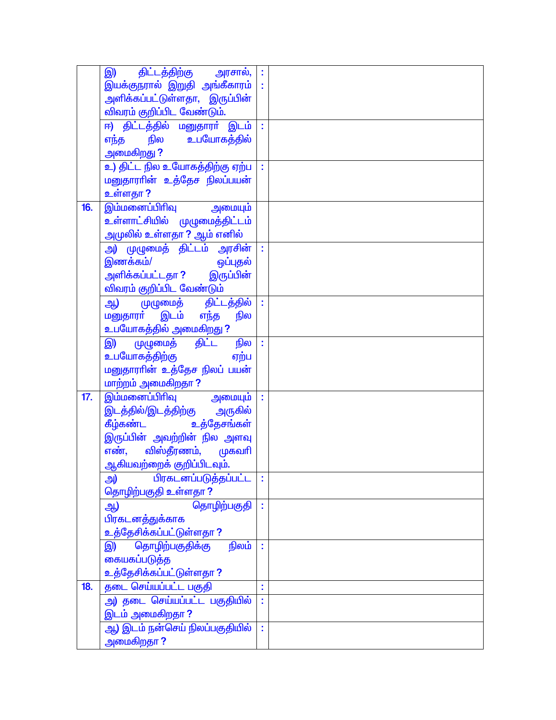|     | இ) திட்டத்திற்கு அ <mark>ரசால்,</mark>  :         |    |  |
|-----|---------------------------------------------------|----|--|
|     | இயக்குநரால் இறுதி அங்கீகாரம் <mark> </mark>       |    |  |
|     | அளிக்கப்பட்டுள்ளதா, இருப்பின்                     |    |  |
|     | விவரம் குறிப்பிட வேண்டும்.                        |    |  |
|     | ஈ) திட்டத்தில் மனுதாரா் இடம் :                    |    |  |
|     | எந்த நில உபயோகத்தில்                              |    |  |
|     | அமைகிறது ?                                        |    |  |
|     | உ) திட்ட நில உயோகத்திற்கு ஏற்ப                    | ÷  |  |
|     | மனுதாராின் உத்தேச நிலப்பயன்                       |    |  |
|     | உள்ளதா ?                                          |    |  |
| 16. | இம்மனைப்பிரிவு அமையும்                            |    |  |
|     | <u>உள்ளாட்சியில் முழுமைத்திட்டம்</u>              |    |  |
|     | அமுலில் உள்ளதா ? ஆம் எனில்                        |    |  |
|     | <mark>அ) முழுமைத் திட்டம் அரசின்</mark>           | ř, |  |
|     | இணக்கம்/<br><u>ஒப்புத</u> ல்                      |    |  |
|     | அளிக்கப்பட்டதா ? இருப்பின்                        |    |  |
|     |                                                   |    |  |
|     | <mark>விவரம் குறிப்பிட வேண்டும்</mark>            |    |  |
|     | ஆ) முழுமைத் திட்டத்தில்<br>மனுதாரா் இடம் எந்த நில | ř, |  |
|     |                                                   |    |  |
|     | உபயோகத்தில் அ <u>மைகிறது</u> ?                    |    |  |
|     | இ) முழுமைத் திட்ட நில                             |    |  |
|     | உபயோகத்திற்கு<br>ஏற்ப                             |    |  |
|     | மனுதாராின் உத்தேச நிலப் பயன்                      |    |  |
|     | மாற்றம் அமைகிறதா ?                                |    |  |
| 17. |                                                   |    |  |
|     | இடத்தில்/இடத்திற்கு அருகில்                       |    |  |
|     | கீழ்கண்ட உத்தேசங்கள்                              |    |  |
|     | இருப்பின் அவற்றின் நில அளவு                       |    |  |
|     | எண், விஸ்தீரணம், முகவரி                           |    |  |
|     | ஆகியவற்றைக் குறிப்பிடவும்.                        |    |  |
|     | <u>பிரகடனப்படுத்தப்பட்ட</u><br>அ)                 |    |  |
|     | தொழிற்பகுதி உள்ளதா ?                              |    |  |
|     | தொழிற்பகுதி<br>ஆ)                                 |    |  |
|     | பிரகடனத்துக்காக                                   |    |  |
|     | உத்தேசிக்கப்பட்டுள்ளதா ?                          |    |  |
|     | தொழிற்பகுதிக்கு<br>நிலம்<br>இ)                    |    |  |
|     | கையகப்படுத்த                                      |    |  |
|     | உத்தேசிக்கப்பட்டுள்ளதா ?                          |    |  |
| 18. | தடை செய்யப்பட்ட பகுதி                             | t  |  |
|     | அ) தடை செய்யப்பட்ட பகுதியில்                      | ř, |  |
|     | இடம் அமைகிறதா?                                    |    |  |
|     | <mark>ஆ) இடம் நன்செய் நிலப்பகுதியில்</mark>       | ř, |  |
|     | அமைகிறதா <b>?</b>                                 |    |  |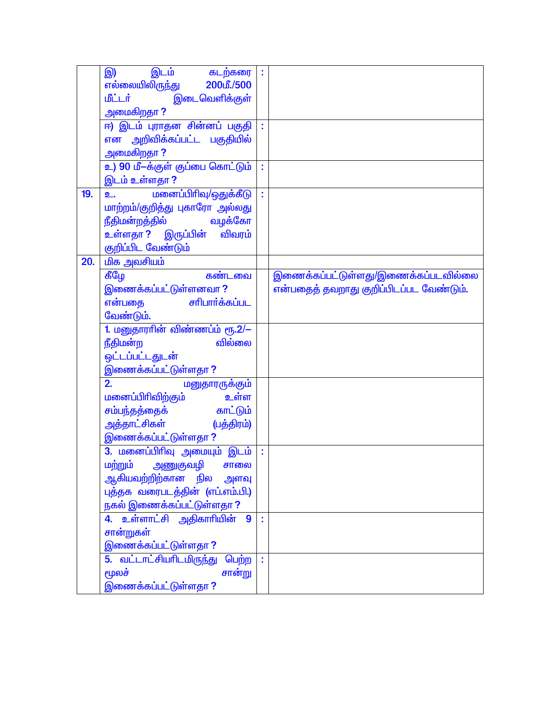|     | இடம்<br>கடற்கரை<br>இ)                                                                                                                         | t  |                                         |
|-----|-----------------------------------------------------------------------------------------------------------------------------------------------|----|-----------------------------------------|
|     | 200மீ./500<br>எல்லையிலி <u>ருந்</u> து                                                                                                        |    |                                         |
|     | மீட்டர்<br>இடைவெளிக்குள்                                                                                                                      |    |                                         |
|     | அமைகிறதா ?                                                                                                                                    |    |                                         |
|     | ஈ) இடம் புராதன சின்னப் பகுதி                                                                                                                  |    |                                         |
|     | என அறிவிக்கப்பட்ட பகுதியில்                                                                                                                   |    |                                         |
|     | அமைகிறதா?                                                                                                                                     |    |                                         |
|     | உ) 90 மீ-க்குள் குப்பை கொட்டும்                                                                                                               | t  |                                         |
|     | இடம் உள்ளதா ?                                                                                                                                 |    |                                         |
| 19. | மனைப்பிரிவு/ஒதுக்கீடு<br><u>உ. கேட்டி கேட்டி கேட்டி கேட்டி கேட்டி கேட்டி கேட்டி கேட்டி கேட்டி கேட்டி கேட்டி கேட்டி கேட்டி கேட்டி கேட்டி க</u> | ř, |                                         |
|     | மாற்றம்/குறித்து புகாரோ அல்லது                                                                                                                |    |                                         |
|     | <mark>நீதிமன்றத்தில்</mark><br>வழக்கோ                                                                                                         |    |                                         |
|     | <mark>உள்ளதா?  இருப்பின்</mark><br>விவரம்                                                                                                     |    |                                         |
|     | குறிப்பிட வேண்டும்                                                                                                                            |    |                                         |
| 20. | <u>மிக அவசியம்</u>                                                                                                                            |    |                                         |
|     | கண்டவை<br>கீழே                                                                                                                                |    | இணைக்கப்பட்டுள்ளது/இணைக்கப்படவில்லை     |
|     | இணைக்கப்பட்டுள்ளனவா?                                                                                                                          |    | என்பதைத் தவறாது குறிப்பிடப்பட வேண்டும். |
|     | சரிபார்க்கப்பட<br>என்பதை                                                                                                                      |    |                                         |
|     | வேண்டும்.                                                                                                                                     |    |                                         |
|     | 1. மனுதாராின் விண்ணப்ம் ரூ.2/-                                                                                                                |    |                                         |
|     | வில்லை<br>நீதிமன்ற                                                                                                                            |    |                                         |
|     | ஒட்டப்பட்டதுடன்                                                                                                                               |    |                                         |
|     | இணைக்கப்பட்டுள்ளதா ?                                                                                                                          |    |                                         |
|     | 2.<br>மனுதாரருக்கும்                                                                                                                          |    |                                         |
|     | உள்ள<br><u>மனைப்பிரிவிற்கும்</u>                                                                                                              |    |                                         |
|     | சம்பந்தத்தைக் காட்டும்                                                                                                                        |    |                                         |
|     | அத்தாட்சிகள்<br>(பத்திரம்)                                                                                                                    |    |                                         |
|     | இணைக்கப்பட்டுள்ளதா ?                                                                                                                          |    |                                         |
|     | 3. மனைப்பிரிவு அமையும் இடம்                                                                                                                   | ċ  |                                         |
|     | மற்றும் அணுகுவழி<br>சாலை                                                                                                                      |    |                                         |
|     | ஆகியவற்றிற்கான நில அளவு                                                                                                                       |    |                                         |
|     | புத்தக வரைபடத்தின் (எப்.எம்.பி.)                                                                                                              |    |                                         |
|     |                                                                                                                                               |    |                                         |
|     | .<br>நகல் இணைக்கப்பட்டுள்ளதா <mark>?</mark><br><mark>4. உள்ளாட்சி அதிகாரியின்</mark><br>9                                                     |    |                                         |
|     | <mark>சான்றுகள்</mark>                                                                                                                        |    |                                         |
|     | இணைக்கப்பட்டுள்ளதா ?                                                                                                                          |    |                                         |
|     | 5. வட்டாட்சியரிடமிருந்து<br>பெற்ற                                                                                                             | t  |                                         |
|     | மூலச்<br>சான்று                                                                                                                               |    |                                         |
|     | இணைக்கப்பட்டுள்ளதா ?                                                                                                                          |    |                                         |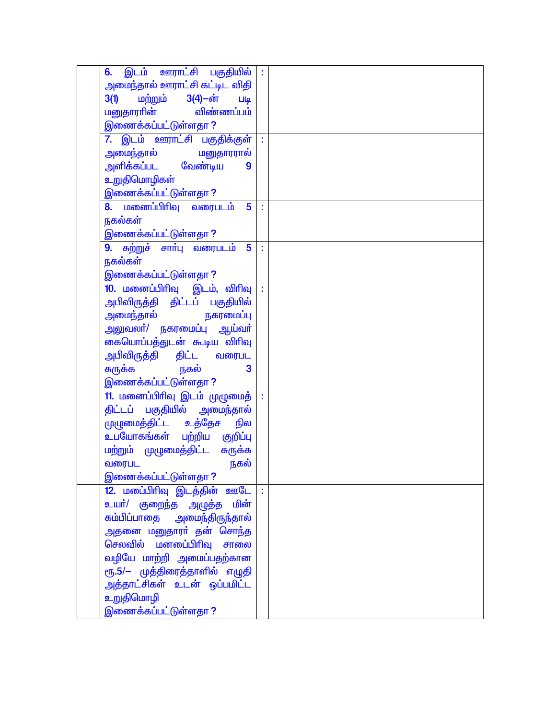| 6. இடம் ஊராட்சி பகுதியில் :                       |  |
|---------------------------------------------------|--|
| அமைந்தால் ஊராட்சி கட்டிட விதி                     |  |
| 3(1) மற்றும் 3(4)-ன்<br>Lilq                      |  |
| மனுதாராின் விண்ணப்பம்                             |  |
| <u>இணைக்கப்பட்டுள்ளதா ?</u>                       |  |
|                                                   |  |
| 7. இடம் ஊராட்சி பகுதிக்குள்                       |  |
|                                                   |  |
| அளிக்கப்பட வேண்டிய<br>9                           |  |
| உறுதிமொழிகள்                                      |  |
| இணைக்கப்பட்டுள்ளதா ?                              |  |
|                                                   |  |
| 8. மனைப்பிரிவு வரைபடம்<br>$\overline{\mathbf{5}}$ |  |
| நகல்கள்                                           |  |
| <u>இணைக்கப்பட்டுள்ளதா ?</u>                       |  |
| 9. சுற்றுச் சார்பு வரைபடம் 5                      |  |
| நகல்கள்                                           |  |
|                                                   |  |
| <u>இணைக்கப்பட்டுள்ளதா ?</u>                       |  |
| 10. மனைப்பிரிவு இடம், விரிவு                      |  |
| அபிவிருத்தி திட்டப் பகுதியில்                     |  |
| அமைந்தால் நகரமைப்பு                               |  |
| அலுவலா்/ நகரமைப்பு ஆய்வா்                         |  |
| கையொப்பத்துடன் கூடிய விரிவு                       |  |
|                                                   |  |
| அபிவிருத்தி திட்ட வரைபட                           |  |
| <mark>சுருக்க</mark> நகல்<br>$\mathbf{3}$         |  |
| இணைக்கப்பட்டுள்ளதா ?                              |  |
| 11. மனைப்பிரிவு இடம் முழுமைத்                     |  |
| திட்டப் பகுதியில் அமைந்தால்                       |  |
| முழுமைத்திட்ட உத்தேச நில                          |  |
|                                                   |  |
| <mark>உபயோகங்கள் பற்றிய குறிப்ப</mark> ு          |  |
| மற்றும் முழுமைத்திட்ட சுருக்க                     |  |
| நகல்<br>வரைபட                                     |  |
| <u>இணைக்கப்பட்டுள்ளதா ?</u>                       |  |
| 12. மபை்பிரிவு இடத்தின் ஊடே                       |  |
| உயர்/ குறைந்த அழுத்த மின <mark>்</mark>           |  |
|                                                   |  |
| கம்பிப்பாதை அமைந்திருந்தால்                       |  |
| அதனை மனுதாரா் தன் சொந்த                           |  |
| செலவில் மனடைப்பிரிவு சாலை                         |  |
| வழியே மாற்றி அமைப்பதற்கான                         |  |
| ரூ.5/– முத்திரைத்தாளில் எழுதி                     |  |
| <mark>அத்தாட்சிகள் உடன்</mark> ஒப்பமிட்ட          |  |
|                                                   |  |
| உறுதிமொழி                                         |  |
| இணைக்கப்பட்டுள்ளதா ?                              |  |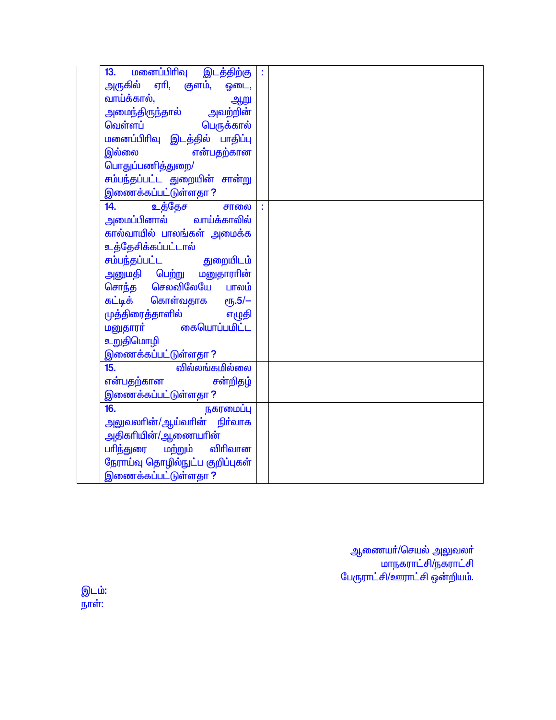| மனைப்பிரிவு<br>இடத்திற்கு<br>13.        |  |
|-----------------------------------------|--|
| அருகில் ஏாி, குளம், ஓடை,                |  |
| வாய்க்கால்,<br>ஆறு                      |  |
| அமைந்திருந்தால் அவற்றின <mark>்</mark>  |  |
| வெள்ளப்<br>பெருக்கால்                   |  |
| மனைப்பிரிவு இடத்தில் பாதிப்பு           |  |
| இல்லை<br>என்பதற்கான                     |  |
| பொதுப்பணித்துறை/                        |  |
| சம்பந்தப்பட்ட துறையின் சான்று           |  |
| இணைக்கப்பட்டுள்ளதா ?                    |  |
| உத்தேச<br>14.<br>சாலை                   |  |
| அமைப்பினால் வாய்க்காலில <mark>்</mark>  |  |
| கால்வாயில் பாலங்கள் அமைக்க              |  |
| உத்தேசிக்கப்பட்டால்                     |  |
| சம்பந்தப்பட்ட<br>துறையிடம்              |  |
| அனுமதி பெற்று மனுதார <mark>ா</mark> ின் |  |
| சொந்த செலவிலேயே பாலம்                   |  |
| கட்டிக் கொள்வதாக ரூ.5/–                 |  |
| முத்திரைத்தாளில்<br>எழுதி               |  |
| மனுதாரா் கையொப்ப <u>மி</u> ட்ட          |  |
| உறுதிமொழி                               |  |
| இணைக்கப்பட்டுள்ளதா ?                    |  |
| வில்லங்கமில்லை<br>15.                   |  |
| என்பதற்கான<br>சன்றிதழ்                  |  |
| இணைக்கப்பட்டுள்ளதா ?                    |  |
| 16.<br>நகரமைப்பு                        |  |
| அலுவலாின்/ஆய்வாின் நிர்வாக              |  |
| அதிகரியின்/ஆணையரின்                     |  |
| பரிந்துரை மற்றும்<br>விரிவான            |  |
| நேராய்வு தொழில்நுட்ப குறிப்புகள்        |  |
| <u>இணைக்கப்பட்டுள்ளதா ?</u>             |  |

ஆணையா்/செயல் அலுவலா்<br>மாநகராட்சி/நகராட்சி<br>பேருராட்சி/ஊராட்சி ஒன்றியம்.

இட<mark>ம்:</mark><br>நாள்: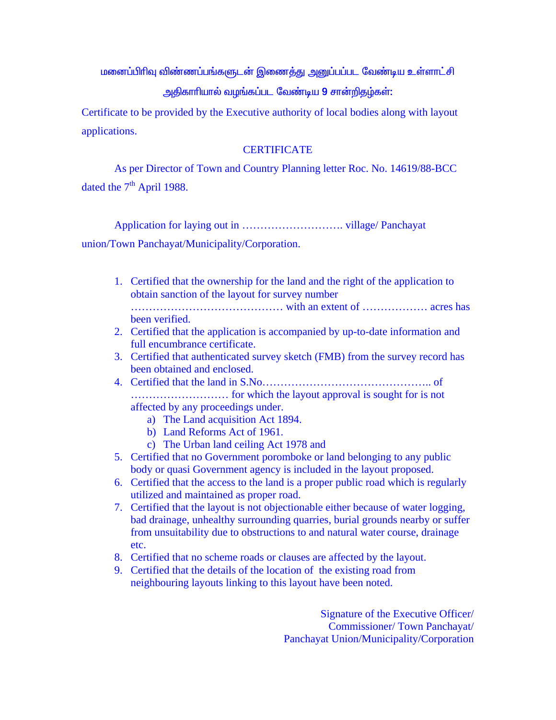<u>மனைப்பிரிவு விண்ணப்பங்களுடன் இணைத்து அனுப்பப்பட வேண்டிய உள்ளாட்சி</u> அதிகாரியால் வழங்கப்பட வேண்டிய 9 சான்றிதழ்கள்:

Certificate to be provided by the Executive authority of local bodies along with layout applications.

#### **CERTIFICATE**

 As per Director of Town and Country Planning letter Roc. No. 14619/88-BCC dated the  $7<sup>th</sup>$  April 1988.

Application for laying out in ………………………. village/ Panchayat

union/Town Panchayat/Municipality/Corporation.

- 1. Certified that the ownership for the land and the right of the application to obtain sanction of the layout for survey number …………………………………… with an extent of ……………… acres has been verified.
- 2. Certified that the application is accompanied by up-to-date information and full encumbrance certificate.
- 3. Certified that authenticated survey sketch (FMB) from the survey record has been obtained and enclosed.
- 4. Certified that the land in S.No……………………………………….. of ……………………… for which the layout approval is sought for is not affected by any proceedings under.
	- a) The Land acquisition Act 1894.
	- b) Land Reforms Act of 1961.
	- c) The Urban land ceiling Act 1978 and
- 5. Certified that no Government poromboke or land belonging to any public body or quasi Government agency is included in the layout proposed.
- 6. Certified that the access to the land is a proper public road which is regularly utilized and maintained as proper road.
- 7. Certified that the layout is not objectionable either because of water logging, bad drainage, unhealthy surrounding quarries, burial grounds nearby or suffer from unsuitability due to obstructions to and natural water course, drainage etc.
- 8. Certified that no scheme roads or clauses are affected by the layout.
- 9. Certified that the details of the location of the existing road from neighbouring layouts linking to this layout have been noted.

Signature of the Executive Officer/ Commissioner/ Town Panchayat/ Panchayat Union/Municipality/Corporation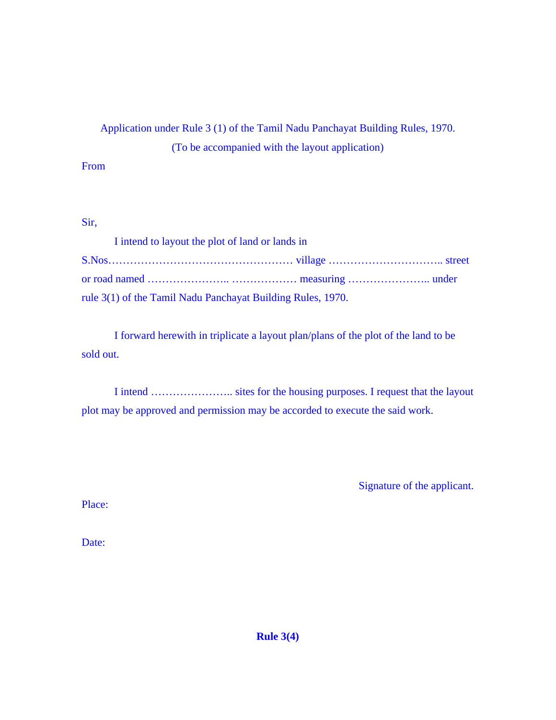# Application under Rule 3 (1) of the Tamil Nadu Panchayat Building Rules, 1970. (To be accompanied with the layout application)

# From

## Sir,

| I intend to layout the plot of land or lands in             |  |  |  |  |  |  |
|-------------------------------------------------------------|--|--|--|--|--|--|
|                                                             |  |  |  |  |  |  |
|                                                             |  |  |  |  |  |  |
| rule 3(1) of the Tamil Nadu Panchayat Building Rules, 1970. |  |  |  |  |  |  |

 I forward herewith in triplicate a layout plan/plans of the plot of the land to be sold out.

 I intend ………………….. sites for the housing purposes. I request that the layout plot may be approved and permission may be accorded to execute the said work.

Signature of the applicant.

Place:

Date:

**Rule 3(4)**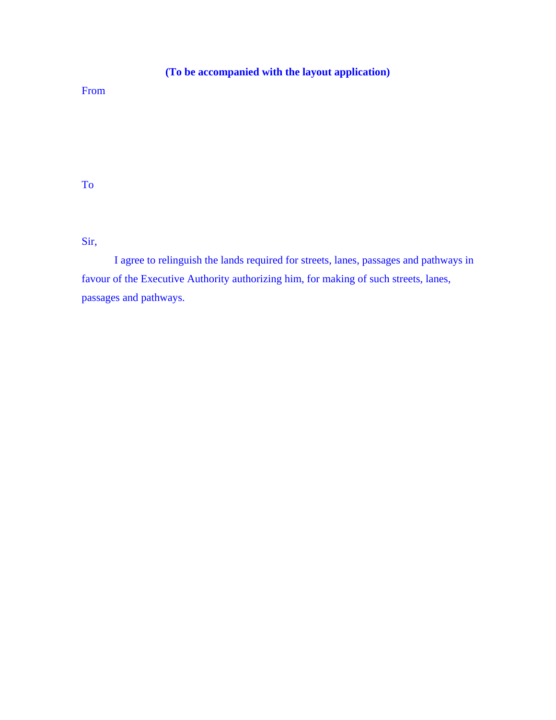# **(To be accompanied with the layout application)**

# From

To

Sir,

 I agree to relinguish the lands required for streets, lanes, passages and pathways in favour of the Executive Authority authorizing him, for making of such streets, lanes, passages and pathways.